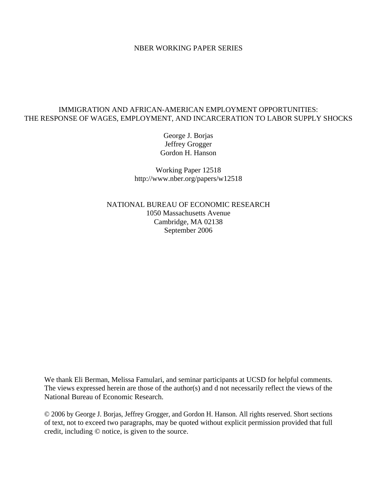### NBER WORKING PAPER SERIES

# IMMIGRATION AND AFRICAN-AMERICAN EMPLOYMENT OPPORTUNITIES: THE RESPONSE OF WAGES, EMPLOYMENT, AND INCARCERATION TO LABOR SUPPLY SHOCKS

George J. Borjas Jeffrey Grogger Gordon H. Hanson

Working Paper 12518 http://www.nber.org/papers/w12518

NATIONAL BUREAU OF ECONOMIC RESEARCH 1050 Massachusetts Avenue Cambridge, MA 02138 September 2006

We thank Eli Berman, Melissa Famulari, and seminar participants at UCSD for helpful comments. The views expressed herein are those of the author(s) and d not necessarily reflect the views of the National Bureau of Economic Research.

© 2006 by George J. Borjas, Jeffrey Grogger, and Gordon H. Hanson. All rights reserved. Short sections of text, not to exceed two paragraphs, may be quoted without explicit permission provided that full credit, including © notice, is given to the source.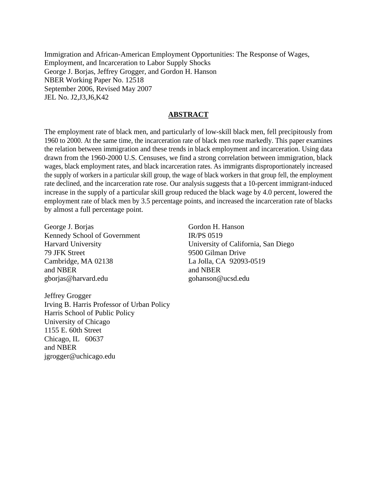Immigration and African-American Employment Opportunities: The Response of Wages, Employment, and Incarceration to Labor Supply Shocks George J. Borjas, Jeffrey Grogger, and Gordon H. Hanson NBER Working Paper No. 12518 September 2006, Revised May 2007 JEL No. J2,J3,J6,K42

# **ABSTRACT**

The employment rate of black men, and particularly of low-skill black men, fell precipitously from 1960 to 2000. At the same time, the incarceration rate of black men rose markedly. This paper examines the relation between immigration and these trends in black employment and incarceration. Using data drawn from the 1960-2000 U.S. Censuses, we find a strong correlation between immigration, black wages, black employment rates, and black incarceration rates. As immigrants disproportionately increased the supply of workers in a particular skill group, the wage of black workers in that group fell, the employment rate declined, and the incarceration rate rose. Our analysis suggests that a 10-percent immigrant-induced increase in the supply of a particular skill group reduced the black wage by 4.0 percent, lowered the employment rate of black men by 3.5 percentage points, and increased the incarceration rate of blacks by almost a full percentage point.

George J. Borjas Kennedy School of Government Harvard University 79 JFK Street Cambridge, MA 02138 and NBER gborjas@harvard.edu

Jeffrey Grogger Irving B. Harris Professor of Urban Policy Harris School of Public Policy University of Chicago 1155 E. 60th Street Chicago, IL 60637 and NBER jgrogger@uchicago.edu

Gordon H. Hanson IR/PS 0519 University of California, San Diego 9500 Gilman Drive La Jolla, CA 92093-0519 and NBER gohanson@ucsd.edu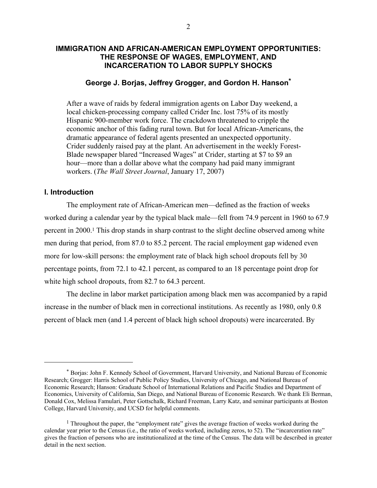# **IMMIGRATION AND AFRICAN-AMERICAN EMPLOYMENT OPPORTUNITIES: THE RESPONSE OF WAGES, EMPLOYMENT, AND INCARCERATION TO LABOR SUPPLY SHOCKS**

# **George J. Borjas, Jeffrey Grogger, and Gordon H. Hanson\***

After a wave of raids by federal immigration agents on Labor Day weekend, a local chicken-processing company called Crider Inc. lost 75% of its mostly Hispanic 900-member work force. The crackdown threatened to cripple the economic anchor of this fading rural town. But for local African-Americans, the dramatic appearance of federal agents presented an unexpected opportunity. Crider suddenly raised pay at the plant. An advertisement in the weekly Forest-Blade newspaper blared "Increased Wages" at Crider, starting at \$7 to \$9 an hour—more than a dollar above what the company had paid many immigrant workers. (*The Wall Street Journal*, January 17, 2007)

# **I. Introduction**

 $\overline{a}$ 

The employment rate of African-American men—defined as the fraction of weeks worked during a calendar year by the typical black male—fell from 74.9 percent in 1960 to 67.9 percent in 2000.1 This drop stands in sharp contrast to the slight decline observed among white men during that period, from 87.0 to 85.2 percent. The racial employment gap widened even more for low-skill persons: the employment rate of black high school dropouts fell by 30 percentage points, from 72.1 to 42.1 percent, as compared to an 18 percentage point drop for white high school dropouts, from 82.7 to 64.3 percent.

 The decline in labor market participation among black men was accompanied by a rapid increase in the number of black men in correctional institutions. As recently as 1980, only 0.8 percent of black men (and 1.4 percent of black high school dropouts) were incarcerated. By

<sup>\*</sup> Borjas: John F. Kennedy School of Government, Harvard University, and National Bureau of Economic Research; Grogger: Harris School of Public Policy Studies, University of Chicago, and National Bureau of Economic Research; Hanson: Graduate School of International Relations and Pacific Studies and Department of Economics, University of California, San Diego, and National Bureau of Economic Research. We thank Eli Berman, Donald Cox, Melissa Famulari, Peter Gottschalk, Richard Freeman, Larry Katz, and seminar participants at Boston College, Harvard University, and UCSD for helpful comments.

<sup>&</sup>lt;sup>1</sup> Throughout the paper, the "employment rate" gives the average fraction of weeks worked during the calendar year prior to the Census (i.e., the ratio of weeks worked, including zeros, to 52). The "incarceration rate" gives the fraction of persons who are institutionalized at the time of the Census. The data will be described in greater detail in the next section.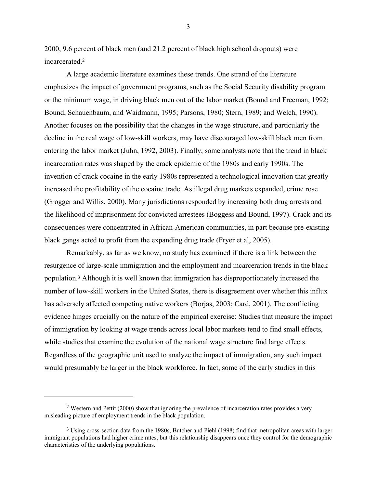2000, 9.6 percent of black men (and 21.2 percent of black high school dropouts) were incarcerated.2

 A large academic literature examines these trends. One strand of the literature emphasizes the impact of government programs, such as the Social Security disability program or the minimum wage, in driving black men out of the labor market (Bound and Freeman, 1992; Bound, Schauenbaum, and Waidmann, 1995; Parsons, 1980; Stern, 1989; and Welch, 1990). Another focuses on the possibility that the changes in the wage structure, and particularly the decline in the real wage of low-skill workers, may have discouraged low-skill black men from entering the labor market (Juhn, 1992, 2003). Finally, some analysts note that the trend in black incarceration rates was shaped by the crack epidemic of the 1980s and early 1990s. The invention of crack cocaine in the early 1980s represented a technological innovation that greatly increased the profitability of the cocaine trade. As illegal drug markets expanded, crime rose (Grogger and Willis, 2000). Many jurisdictions responded by increasing both drug arrests and the likelihood of imprisonment for convicted arrestees (Boggess and Bound, 1997). Crack and its consequences were concentrated in African-American communities, in part because pre-existing black gangs acted to profit from the expanding drug trade (Fryer et al, 2005).

 Remarkably, as far as we know, no study has examined if there is a link between the resurgence of large-scale immigration and the employment and incarceration trends in the black population.3 Although it is well known that immigration has disproportionately increased the number of low-skill workers in the United States, there is disagreement over whether this influx has adversely affected competing native workers (Borjas, 2003; Card, 2001). The conflicting evidence hinges crucially on the nature of the empirical exercise: Studies that measure the impact of immigration by looking at wage trends across local labor markets tend to find small effects, while studies that examine the evolution of the national wage structure find large effects. Regardless of the geographic unit used to analyze the impact of immigration, any such impact would presumably be larger in the black workforce. In fact, some of the early studies in this

 $\overline{a}$ 

<sup>2</sup> Western and Pettit (2000) show that ignoring the prevalence of incarceration rates provides a very misleading picture of employment trends in the black population.

<sup>3</sup> Using cross-section data from the 1980s, Butcher and Piehl (1998) find that metropolitan areas with larger immigrant populations had higher crime rates, but this relationship disappears once they control for the demographic characteristics of the underlying populations.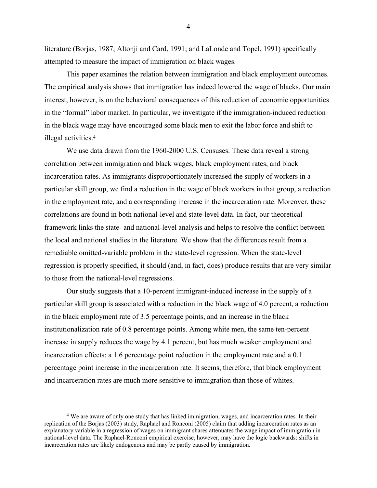literature (Borjas, 1987; Altonji and Card, 1991; and LaLonde and Topel, 1991) specifically attempted to measure the impact of immigration on black wages.

This paper examines the relation between immigration and black employment outcomes. The empirical analysis shows that immigration has indeed lowered the wage of blacks. Our main interest, however, is on the behavioral consequences of this reduction of economic opportunities in the "formal" labor market. In particular, we investigate if the immigration-induced reduction in the black wage may have encouraged some black men to exit the labor force and shift to illegal activities.4

We use data drawn from the 1960-2000 U.S. Censuses. These data reveal a strong correlation between immigration and black wages, black employment rates, and black incarceration rates. As immigrants disproportionately increased the supply of workers in a particular skill group, we find a reduction in the wage of black workers in that group, a reduction in the employment rate, and a corresponding increase in the incarceration rate. Moreover, these correlations are found in both national-level and state-level data. In fact, our theoretical framework links the state- and national-level analysis and helps to resolve the conflict between the local and national studies in the literature. We show that the differences result from a remediable omitted-variable problem in the state-level regression. When the state-level regression is properly specified, it should (and, in fact, does) produce results that are very similar to those from the national-level regressions.

Our study suggests that a 10-percent immigrant-induced increase in the supply of a particular skill group is associated with a reduction in the black wage of 4.0 percent, a reduction in the black employment rate of 3.5 percentage points, and an increase in the black institutionalization rate of 0.8 percentage points. Among white men, the same ten-percent increase in supply reduces the wage by 4.1 percent, but has much weaker employment and incarceration effects: a 1.6 percentage point reduction in the employment rate and a 0.1 percentage point increase in the incarceration rate. It seems, therefore, that black employment and incarceration rates are much more sensitive to immigration than those of whites.

 $\overline{a}$ 

<sup>4</sup> We are aware of only one study that has linked immigration, wages, and incarceration rates. In their replication of the Borjas (2003) study, Raphael and Ronconi (2005) claim that adding incarceration rates as an explanatory variable in a regression of wages on immigrant shares attenuates the wage impact of immigration in national-level data. The Raphael-Ronconi empirical exercise, however, may have the logic backwards: shifts in incarceration rates are likely endogenous and may be partly caused by immigration.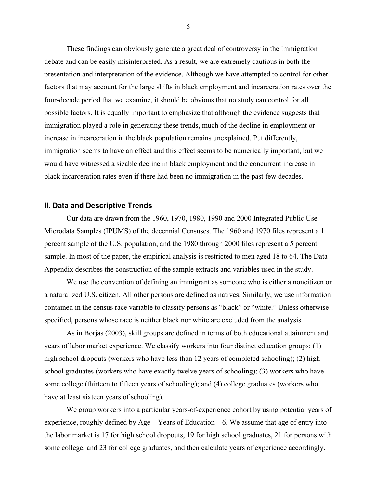These findings can obviously generate a great deal of controversy in the immigration debate and can be easily misinterpreted. As a result, we are extremely cautious in both the presentation and interpretation of the evidence. Although we have attempted to control for other factors that may account for the large shifts in black employment and incarceration rates over the four-decade period that we examine, it should be obvious that no study can control for all possible factors. It is equally important to emphasize that although the evidence suggests that immigration played a role in generating these trends, much of the decline in employment or increase in incarceration in the black population remains unexplained. Put differently, immigration seems to have an effect and this effect seems to be numerically important, but we would have witnessed a sizable decline in black employment and the concurrent increase in black incarceration rates even if there had been no immigration in the past few decades.

#### **II. Data and Descriptive Trends**

Our data are drawn from the 1960, 1970, 1980, 1990 and 2000 Integrated Public Use Microdata Samples (IPUMS) of the decennial Censuses. The 1960 and 1970 files represent a 1 percent sample of the U.S. population, and the 1980 through 2000 files represent a 5 percent sample. In most of the paper, the empirical analysis is restricted to men aged 18 to 64. The Data Appendix describes the construction of the sample extracts and variables used in the study.

We use the convention of defining an immigrant as someone who is either a noncitizen or a naturalized U.S. citizen. All other persons are defined as natives. Similarly, we use information contained in the census race variable to classify persons as "black" or "white." Unless otherwise specified, persons whose race is neither black nor white are excluded from the analysis.

As in Borjas (2003), skill groups are defined in terms of both educational attainment and years of labor market experience. We classify workers into four distinct education groups: (1) high school dropouts (workers who have less than 12 years of completed schooling); (2) high school graduates (workers who have exactly twelve years of schooling); (3) workers who have some college (thirteen to fifteen years of schooling); and (4) college graduates (workers who have at least sixteen years of schooling).

We group workers into a particular years-of-experience cohort by using potential years of experience, roughly defined by Age – Years of Education – 6. We assume that age of entry into the labor market is 17 for high school dropouts, 19 for high school graduates, 21 for persons with some college, and 23 for college graduates, and then calculate years of experience accordingly.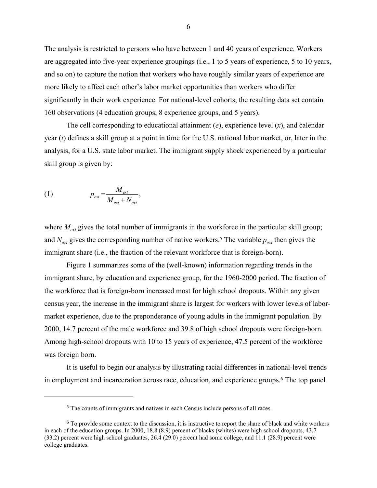The analysis is restricted to persons who have between 1 and 40 years of experience. Workers are aggregated into five-year experience groupings (i.e., 1 to 5 years of experience, 5 to 10 years, and so on) to capture the notion that workers who have roughly similar years of experience are more likely to affect each other's labor market opportunities than workers who differ significantly in their work experience. For national-level cohorts, the resulting data set contain 160 observations (4 education groups, 8 experience groups, and 5 years).

The cell corresponding to educational attainment (*e*), experience level (*x*), and calendar year (*t*) defines a skill group at a point in time for the U.S. national labor market, or, later in the analysis, for a U.S. state labor market. The immigrant supply shock experienced by a particular skill group is given by:

$$
(1) \t\t p_{ext} = \frac{M_{ext}}{M_{ext} + N_{ext}},
$$

 $\overline{a}$ 

where  $M_{\text{ext}}$  gives the total number of immigrants in the workforce in the particular skill group; and  $N_{ext}$  gives the corresponding number of native workers.<sup>5</sup> The variable  $p_{ext}$  then gives the immigrant share (i.e., the fraction of the relevant workforce that is foreign-born).

Figure 1 summarizes some of the (well-known) information regarding trends in the immigrant share, by education and experience group, for the 1960-2000 period. The fraction of the workforce that is foreign-born increased most for high school dropouts. Within any given census year, the increase in the immigrant share is largest for workers with lower levels of labormarket experience, due to the preponderance of young adults in the immigrant population. By 2000, 14.7 percent of the male workforce and 39.8 of high school dropouts were foreign-born. Among high-school dropouts with 10 to 15 years of experience, 47.5 percent of the workforce was foreign born.

It is useful to begin our analysis by illustrating racial differences in national-level trends in employment and incarceration across race, education, and experience groups.6 The top panel

<sup>5</sup> The counts of immigrants and natives in each Census include persons of all races.

<sup>6</sup> To provide some context to the discussion, it is instructive to report the share of black and white workers in each of the education groups. In 2000, 18.8 (8.9) percent of blacks (whites) were high school dropouts, 43.7 (33.2) percent were high school graduates, 26.4 (29.0) percent had some college, and 11.1 (28.9) percent were college graduates.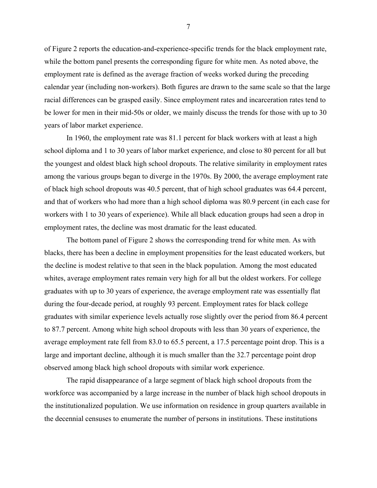of Figure 2 reports the education-and-experience-specific trends for the black employment rate, while the bottom panel presents the corresponding figure for white men. As noted above, the employment rate is defined as the average fraction of weeks worked during the preceding calendar year (including non-workers). Both figures are drawn to the same scale so that the large racial differences can be grasped easily. Since employment rates and incarceration rates tend to be lower for men in their mid-50s or older, we mainly discuss the trends for those with up to 30 years of labor market experience.

In 1960, the employment rate was 81.1 percent for black workers with at least a high school diploma and 1 to 30 years of labor market experience, and close to 80 percent for all but the youngest and oldest black high school dropouts. The relative similarity in employment rates among the various groups began to diverge in the 1970s. By 2000, the average employment rate of black high school dropouts was 40.5 percent, that of high school graduates was 64.4 percent, and that of workers who had more than a high school diploma was 80.9 percent (in each case for workers with 1 to 30 years of experience). While all black education groups had seen a drop in employment rates, the decline was most dramatic for the least educated.

The bottom panel of Figure 2 shows the corresponding trend for white men. As with blacks, there has been a decline in employment propensities for the least educated workers, but the decline is modest relative to that seen in the black population. Among the most educated whites, average employment rates remain very high for all but the oldest workers. For college graduates with up to 30 years of experience, the average employment rate was essentially flat during the four-decade period, at roughly 93 percent. Employment rates for black college graduates with similar experience levels actually rose slightly over the period from 86.4 percent to 87.7 percent. Among white high school dropouts with less than 30 years of experience, the average employment rate fell from 83.0 to 65.5 percent, a 17.5 percentage point drop. This is a large and important decline, although it is much smaller than the 32.7 percentage point drop observed among black high school dropouts with similar work experience.

The rapid disappearance of a large segment of black high school dropouts from the workforce was accompanied by a large increase in the number of black high school dropouts in the institutionalized population. We use information on residence in group quarters available in the decennial censuses to enumerate the number of persons in institutions. These institutions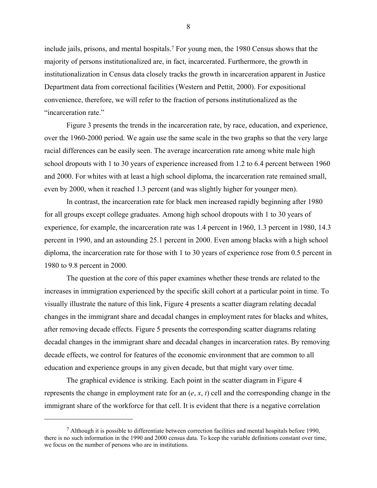include jails, prisons, and mental hospitals.7 For young men, the 1980 Census shows that the majority of persons institutionalized are, in fact, incarcerated. Furthermore, the growth in institutionalization in Census data closely tracks the growth in incarceration apparent in Justice Department data from correctional facilities (Western and Pettit, 2000). For expositional convenience, therefore, we will refer to the fraction of persons institutionalized as the "incarceration rate."

Figure 3 presents the trends in the incarceration rate, by race, education, and experience, over the 1960-2000 period. We again use the same scale in the two graphs so that the very large racial differences can be easily seen. The average incarceration rate among white male high school dropouts with 1 to 30 years of experience increased from 1.2 to 6.4 percent between 1960 and 2000. For whites with at least a high school diploma, the incarceration rate remained small, even by 2000, when it reached 1.3 percent (and was slightly higher for younger men).

In contrast, the incarceration rate for black men increased rapidly beginning after 1980 for all groups except college graduates. Among high school dropouts with 1 to 30 years of experience, for example, the incarceration rate was 1.4 percent in 1960, 1.3 percent in 1980, 14.3 percent in 1990, and an astounding 25.1 percent in 2000. Even among blacks with a high school diploma, the incarceration rate for those with 1 to 30 years of experience rose from 0.5 percent in 1980 to 9.8 percent in 2000.

The question at the core of this paper examines whether these trends are related to the increases in immigration experienced by the specific skill cohort at a particular point in time. To visually illustrate the nature of this link, Figure 4 presents a scatter diagram relating decadal changes in the immigrant share and decadal changes in employment rates for blacks and whites, after removing decade effects. Figure 5 presents the corresponding scatter diagrams relating decadal changes in the immigrant share and decadal changes in incarceration rates. By removing decade effects, we control for features of the economic environment that are common to all education and experience groups in any given decade, but that might vary over time.

The graphical evidence is striking. Each point in the scatter diagram in Figure 4 represents the change in employment rate for an (*e*, *x*, *t*) cell and the corresponding change in the immigrant share of the workforce for that cell. It is evident that there is a negative correlation

 $\overline{a}$ 

<sup>7</sup> Although it is possible to differentiate between correction facilities and mental hospitals before 1990, there is no such information in the 1990 and 2000 census data. To keep the variable definitions constant over time, we focus on the number of persons who are in institutions.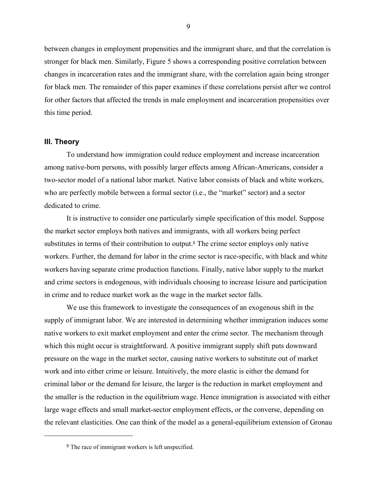between changes in employment propensities and the immigrant share, and that the correlation is stronger for black men. Similarly, Figure 5 shows a corresponding positive correlation between changes in incarceration rates and the immigrant share, with the correlation again being stronger for black men. The remainder of this paper examines if these correlations persist after we control for other factors that affected the trends in male employment and incarceration propensities over this time period.

# **III. Theory**

 $\overline{a}$ 

 To understand how immigration could reduce employment and increase incarceration among native-born persons, with possibly larger effects among African-Americans, consider a two-sector model of a national labor market. Native labor consists of black and white workers, who are perfectly mobile between a formal sector (i.e., the "market" sector) and a sector dedicated to crime.

It is instructive to consider one particularly simple specification of this model. Suppose the market sector employs both natives and immigrants, with all workers being perfect substitutes in terms of their contribution to output.8 The crime sector employs only native workers. Further, the demand for labor in the crime sector is race-specific, with black and white workers having separate crime production functions. Finally, native labor supply to the market and crime sectors is endogenous, with individuals choosing to increase leisure and participation in crime and to reduce market work as the wage in the market sector falls.

We use this framework to investigate the consequences of an exogenous shift in the supply of immigrant labor. We are interested in determining whether immigration induces some native workers to exit market employment and enter the crime sector. The mechanism through which this might occur is straightforward. A positive immigrant supply shift puts downward pressure on the wage in the market sector, causing native workers to substitute out of market work and into either crime or leisure. Intuitively, the more elastic is either the demand for criminal labor or the demand for leisure, the larger is the reduction in market employment and the smaller is the reduction in the equilibrium wage. Hence immigration is associated with either large wage effects and small market-sector employment effects, or the converse, depending on the relevant elasticities. One can think of the model as a general-equilibrium extension of Gronau

<sup>8</sup> The race of immigrant workers is left unspecified.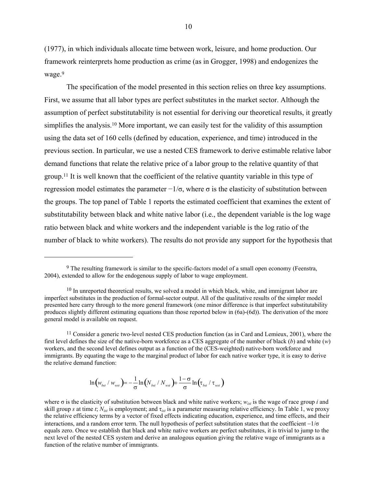(1977), in which individuals allocate time between work, leisure, and home production. Our framework reinterprets home production as crime (as in Grogger, 1998) and endogenizes the wage.<sup>9</sup>

The specification of the model presented in this section relies on three key assumptions. First, we assume that all labor types are perfect substitutes in the market sector. Although the assumption of perfect substitutability is not essential for deriving our theoretical results, it greatly simplifies the analysis.<sup>10</sup> More important, we can easily test for the validity of this assumption using the data set of 160 cells (defined by education, experience, and time) introduced in the previous section. In particular, we use a nested CES framework to derive estimable relative labor demand functions that relate the relative price of a labor group to the relative quantity of that group.11 It is well known that the coefficient of the relative quantity variable in this type of regression model estimates the parameter  $-1/\sigma$ , where  $\sigma$  is the elasticity of substitution between the groups. The top panel of Table 1 reports the estimated coefficient that examines the extent of substitutability between black and white native labor (i.e., the dependent variable is the log wage ratio between black and white workers and the independent variable is the log ratio of the number of black to white workers). The results do not provide any support for the hypothesis that

$$
\ln \left( w_{\rm{bst}} \ / \ w_{\rm{wst}} \right) = -\frac{1}{\sigma} \ln \left( N_{\rm{bst}} \ / \ N_{\rm{wst}} \right) + \frac{1-\sigma}{\sigma} \ln \left( \tau_{\rm{bst}} \ / \ \tau_{\rm{wst}} \right)
$$

 $\overline{a}$ 

<sup>9</sup> The resulting framework is similar to the specific-factors model of a small open economy (Feenstra, 2004), extended to allow for the endogenous supply of labor to wage employment.

<sup>&</sup>lt;sup>10</sup> In unreported theoretical results, we solved a model in which black, white, and immigrant labor are imperfect substitutes in the production of formal-sector output. All of the qualitative results of the simpler model presented here carry through to the more general framework (one minor difference is that imperfect substitutability produces slightly different estimating equations than those reported below in (6a)-(6d)). The derivation of the more general model is available on request.

<sup>11</sup> Consider a generic two-level nested CES production function (as in Card and Lemieux, 2001), where the first level defines the size of the native-born workforce as a CES aggregate of the number of black (*b*) and white (*w*) workers, and the second level defines output as a function of the (CES-weighted) native-born workforce and immigrants. By equating the wage to the marginal product of labor for each native worker type, it is easy to derive the relative demand function:

where σ is the elasticity of substitution between black and white native workers; *wist* is the wage of race group *i* and skill group *s* at time *t*;  $N_{ist}$  is employment; and  $\tau_{ist}$  is a parameter measuring relative efficiency. In Table 1, we proxy the relative efficiency terms by a vector of fixed effects indicating education, experience, and time effects, and their interactions, and a random error term. The null hypothesis of perfect substitution states that the coefficient −1/σ equals zero. Once we establish that black and white native workers are perfect substitutes, it is trivial to jump to the next level of the nested CES system and derive an analogous equation giving the relative wage of immigrants as a function of the relative number of immigrants.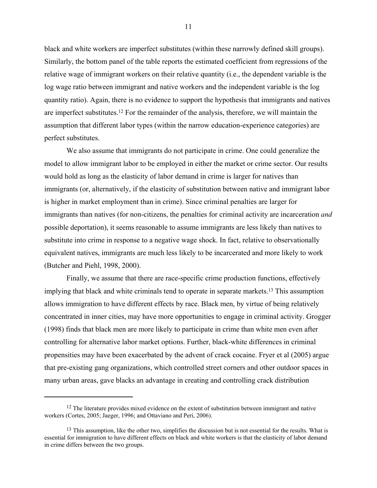black and white workers are imperfect substitutes (within these narrowly defined skill groups). Similarly, the bottom panel of the table reports the estimated coefficient from regressions of the relative wage of immigrant workers on their relative quantity (i.e., the dependent variable is the log wage ratio between immigrant and native workers and the independent variable is the log quantity ratio). Again, there is no evidence to support the hypothesis that immigrants and natives are imperfect substitutes.12 For the remainder of the analysis, therefore, we will maintain the assumption that different labor types (within the narrow education-experience categories) are perfect substitutes.

 We also assume that immigrants do not participate in crime. One could generalize the model to allow immigrant labor to be employed in either the market or crime sector. Our results would hold as long as the elasticity of labor demand in crime is larger for natives than immigrants (or, alternatively, if the elasticity of substitution between native and immigrant labor is higher in market employment than in crime). Since criminal penalties are larger for immigrants than natives (for non-citizens, the penalties for criminal activity are incarceration *and* possible deportation), it seems reasonable to assume immigrants are less likely than natives to substitute into crime in response to a negative wage shock. In fact, relative to observationally equivalent natives, immigrants are much less likely to be incarcerated and more likely to work (Butcher and Piehl, 1998, 2000).

 Finally, we assume that there are race-specific crime production functions, effectively implying that black and white criminals tend to operate in separate markets.13 This assumption allows immigration to have different effects by race. Black men, by virtue of being relatively concentrated in inner cities, may have more opportunities to engage in criminal activity. Grogger (1998) finds that black men are more likely to participate in crime than white men even after controlling for alternative labor market options. Further, black-white differences in criminal propensities may have been exacerbated by the advent of crack cocaine. Fryer et al (2005) argue that pre-existing gang organizations, which controlled street corners and other outdoor spaces in many urban areas, gave blacks an advantage in creating and controlling crack distribution

 $\overline{a}$ 

<sup>&</sup>lt;sup>12</sup> The literature provides mixed evidence on the extent of substitution between immigrant and native workers (Cortes, 2005; Jaeger, 1996; and Ottaviano and Peri, 2006).

<sup>&</sup>lt;sup>13</sup> This assumption, like the other two, simplifies the discussion but is not essential for the results. What is essential for immigration to have different effects on black and white workers is that the elasticity of labor demand in crime differs between the two groups.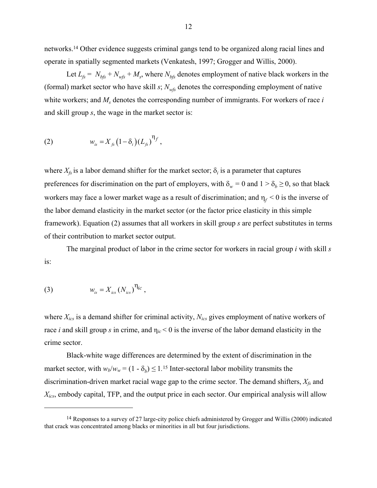networks.14 Other evidence suggests criminal gangs tend to be organized along racial lines and operate in spatially segmented markets (Venkatesh, 1997; Grogger and Willis, 2000).

Let  $L_f = N_{bfs} + N_{wfs} + M_s$ , where  $N_{bfs}$  denotes employment of native black workers in the (formal) market sector who have skill  $s$ ;  $N_{wfs}$  denotes the corresponding employment of native white workers; and  $M_s$  denotes the corresponding number of immigrants. For workers of race *i* and skill group *s*, the wage in the market sector is:

(2) 
$$
w_{is} = X_{fs} (1 - \delta_i) (L_{fs})^{\eta_f},
$$

where  $X_{fs}$  is a labor demand shifter for the market sector;  $\delta_i$  is a parameter that captures preferences for discrimination on the part of employers, with  $\delta_w = 0$  and  $1 > \delta_b \ge 0$ , so that black workers may face a lower market wage as a result of discrimination; and  $\eta_f < 0$  is the inverse of the labor demand elasticity in the market sector (or the factor price elasticity in this simple framework). Equation (2) assumes that all workers in skill group *s* are perfect substitutes in terms of their contribution to market sector output.

The marginal product of labor in the crime sector for workers in racial group *i* with skill *s* is:

(3) 
$$
w_{is} = X_{ics} (N_{ics})^{\eta_{ic}},
$$

 $\overline{a}$ 

where *Xics* is a demand shifter for criminal activity, *Nics* gives employment of native workers of race *i* and skill group *s* in crime, and η*ic* < 0 is the inverse of the labor demand elasticity in the crime sector.

Black-white wage differences are determined by the extent of discrimination in the market sector, with  $w_b/w_w = (1 - \delta_b) \le 1.15$  Inter-sectoral labor mobility transmits the discrimination-driven market racial wage gap to the crime sector. The demand shifters, *Xfs* and *Xics*, embody capital, TFP, and the output price in each sector. Our empirical analysis will allow

<sup>14</sup> Responses to a survey of 27 large-city police chiefs administered by Grogger and Willis (2000) indicated that crack was concentrated among blacks or minorities in all but four jurisdictions.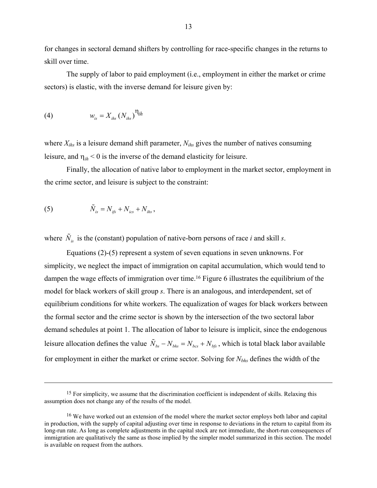for changes in sectoral demand shifters by controlling for race-specific changes in the returns to skill over time.

 The supply of labor to paid employment (i.e., employment in either the market or crime sectors) is elastic, with the inverse demand for leisure given by:

$$
(4) \t\t w_{is} = X_{i\hbar s} (N_{i\hbar s})^{\eta_{i\hbar}}
$$

where *Xihs* is a leisure demand shift parameter, *Nihs* gives the number of natives consuming leisure, and  $\eta_{ih}$  < 0 is the inverse of the demand elasticity for leisure.

Finally, the allocation of native labor to employment in the market sector, employment in the crime sector, and leisure is subject to the constraint:

(5) 
$$
\tilde{N}_{is} = N_{ifs} + N_{ics} + N_{ihs},
$$

 $\overline{a}$ 

where  $\tilde{N}_{i}$  is the (constant) population of native-born persons of race *i* and skill *s*.

Equations (2)-(5) represent a system of seven equations in seven unknowns. For simplicity, we neglect the impact of immigration on capital accumulation, which would tend to dampen the wage effects of immigration over time.16 Figure 6 illustrates the equilibrium of the model for black workers of skill group *s*. There is an analogous, and interdependent, set of equilibrium conditions for white workers. The equalization of wages for black workers between the formal sector and the crime sector is shown by the intersection of the two sectoral labor demand schedules at point 1. The allocation of labor to leisure is implicit, since the endogenous leisure allocation defines the value  $\tilde{N}_{bs} - N_{bbs} = N_{bcs} + N_{bfs}$ , which is total black labor available for employment in either the market or crime sector. Solving for *Nbhs* defines the width of the

<sup>&</sup>lt;sup>15</sup> For simplicity, we assume that the discrimination coefficient is independent of skills. Relaxing this assumption does not change any of the results of the model.

<sup>&</sup>lt;sup>16</sup> We have worked out an extension of the model where the market sector employs both labor and capital in production, with the supply of capital adjusting over time in response to deviations in the return to capital from its long-run rate. As long as complete adjustments in the capital stock are not immediate, the short-run consequences of immigration are qualitatively the same as those implied by the simpler model summarized in this section. The model is available on request from the authors.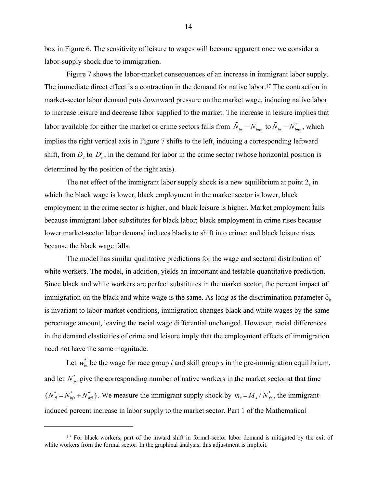box in Figure 6. The sensitivity of leisure to wages will become apparent once we consider a labor-supply shock due to immigration.

 Figure 7 shows the labor-market consequences of an increase in immigrant labor supply. The immediate direct effect is a contraction in the demand for native labor.17 The contraction in market-sector labor demand puts downward pressure on the market wage, inducing native labor to increase leisure and decrease labor supplied to the market. The increase in leisure implies that labor available for either the market or crime sectors falls from  $\tilde{N}_{bs} - N_{bhs}$  to  $\tilde{N}_{bs} - N'_{bhs}$ , which implies the right vertical axis in Figure 7 shifts to the left, inducing a corresponding leftward shift, from  $D_c$  to  $D'_c$ , in the demand for labor in the crime sector (whose horizontal position is determined by the position of the right axis).

 The net effect of the immigrant labor supply shock is a new equilibrium at point 2, in which the black wage is lower, black employment in the market sector is lower, black employment in the crime sector is higher, and black leisure is higher. Market employment falls because immigrant labor substitutes for black labor; black employment in crime rises because lower market-sector labor demand induces blacks to shift into crime; and black leisure rises because the black wage falls.

The model has similar qualitative predictions for the wage and sectoral distribution of white workers. The model, in addition, yields an important and testable quantitative prediction. Since black and white workers are perfect substitutes in the market sector, the percent impact of immigration on the black and white wage is the same. As long as the discrimination parameter  $\delta_b$ is invariant to labor-market conditions, immigration changes black and white wages by the same percentage amount, leaving the racial wage differential unchanged. However, racial differences in the demand elasticities of crime and leisure imply that the employment effects of immigration need not have the same magnitude.

Let  $w_{is}^*$  be the wage for race group *i* and skill group *s* in the pre-immigration equilibrium, and let  $N_{\kappa}^*$  give the corresponding number of native workers in the market sector at that time  $(N_{fs}^* = N_{bs}^* + N_{ws}^*)$ . We measure the immigrant supply shock by  $m_s = M_s / N_{fs}^*$ , the immigrantinduced percent increase in labor supply to the market sector. Part 1 of the Mathematical

 $\overline{a}$ 

<sup>&</sup>lt;sup>17</sup> For black workers, part of the inward shift in formal-sector labor demand is mitigated by the exit of white workers from the formal sector. In the graphical analysis, this adjustment is implicit.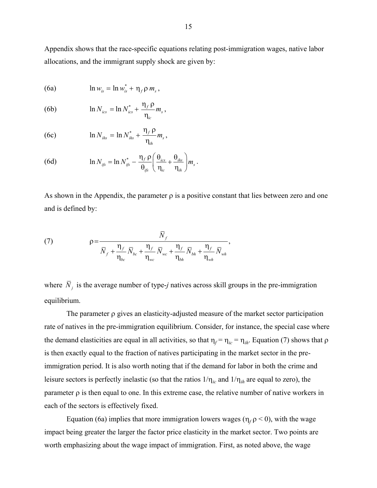Appendix shows that the race-specific equations relating post-immigration wages, native labor allocations, and the immigrant supply shock are given by:

(6a) 
$$
\ln w_{is} = \ln w_{is}^* + \eta_f \rho m_s,
$$

(6b) 
$$
\ln N_{ics} = \ln N_{ics}^* + \frac{\eta_f \rho}{\eta_{ic}} m_s,
$$

(6c) 
$$
\ln N_{\text{ihs}} = \ln N_{\text{ihs}}^* + \frac{\eta_f \rho}{\eta_{\text{ih}}} m_s,
$$

(6d) 
$$
\ln N_{ijs} = \ln N_{ijs}^* - \frac{\eta_f \rho}{\theta_{ijs}} \left( \frac{\theta_{ics}}{\eta_{ic}} + \frac{\theta_{ihs}}{\eta_{ih}} \right) m_s
$$

As shown in the Appendix, the parameter  $\rho$  is a positive constant that lies between zero and one and is defined by:

.

(7) 
$$
\rho = \frac{\overline{N}_f}{\overline{N}_f + \frac{\eta_f}{\eta_{bc}} \overline{N}_{bc} + \frac{\eta_f}{\eta_{wc}} \overline{N}_{wc} + \frac{\eta_f}{\eta_{bh}} \overline{N}_{bh} + \frac{\eta_f}{\eta_{wh}} \overline{N}_{wh}},
$$

where  $\overline{N}_i$  is the average number of type-*j* natives across skill groups in the pre-immigration equilibrium.

The parameter ρ gives an elasticity-adjusted measure of the market sector participation rate of natives in the pre-immigration equilibrium. Consider, for instance, the special case where the demand elasticities are equal in all activities, so that  $\eta_f = \eta_{ic} = \eta_{ih}$ . Equation (7) shows that  $\rho$ is then exactly equal to the fraction of natives participating in the market sector in the preimmigration period. It is also worth noting that if the demand for labor in both the crime and leisure sectors is perfectly inelastic (so that the ratios  $1/\eta_{ic}$  and  $1/\eta_{ih}$  are equal to zero), the parameter  $\rho$  is then equal to one. In this extreme case, the relative number of native workers in each of the sectors is effectively fixed.

Equation (6a) implies that more immigration lowers wages ( $\eta_f$   $\rho$  < 0), with the wage impact being greater the larger the factor price elasticity in the market sector. Two points are worth emphasizing about the wage impact of immigration. First, as noted above, the wage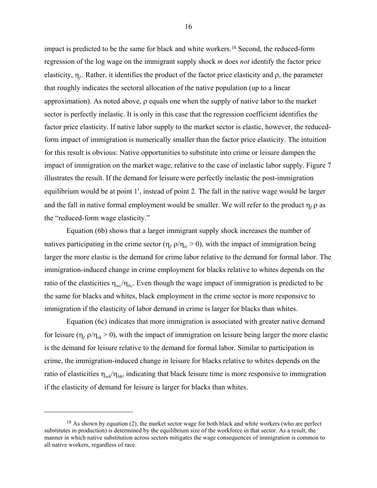impact is predicted to be the same for black and white workers.18 Second, the reduced-form regression of the log wage on the immigrant supply shock *m* does *not* identify the factor price elasticity,  $\eta_f$ . Rather, it identifies the product of the factor price elasticity and  $\rho$ , the parameter that roughly indicates the sectoral allocation of the native population (up to a linear approximation). As noted above, ρ equals one when the supply of native labor to the market sector is perfectly inelastic. It is only in this case that the regression coefficient identifies the factor price elasticity. If native labor supply to the market sector is elastic, however, the reducedform impact of immigration is numerically smaller than the factor price elasticity. The intuition for this result is obvious: Native opportunities to substitute into crime or leisure dampen the impact of immigration on the market wage, relative to the case of inelastic labor supply. Figure 7 illustrates the result. If the demand for leisure were perfectly inelastic the post-immigration equilibrium would be at point 1′, instead of point 2. The fall in the native wage would be larger and the fall in native formal employment would be smaller. We will refer to the product  $\eta_f \rho$  as the "reduced-form wage elasticity."

Equation (6b) shows that a larger immigrant supply shock increases the number of natives participating in the crime sector ( $\eta_f \rho / \eta_i > 0$ ), with the impact of immigration being larger the more elastic is the demand for crime labor relative to the demand for formal labor. The immigration-induced change in crime employment for blacks relative to whites depends on the ratio of the elasticities  $\eta_{wc}/\eta_{bc}$ . Even though the wage impact of immigration is predicted to be the same for blacks and whites, black employment in the crime sector is more responsive to immigration if the elasticity of labor demand in crime is larger for blacks than whites.

Equation (6c) indicates that more immigration is associated with greater native demand for leisure ( $\eta_f \rho / \eta_{ih} > 0$ ), with the impact of immigration on leisure being larger the more elastic is the demand for leisure relative to the demand for formal labor. Similar to participation in crime, the immigration-induced change in leisure for blacks relative to whites depends on the ratio of elasticities  $\eta_{wk}/\eta_{bh}$ , indicating that black leisure time is more responsive to immigration if the elasticity of demand for leisure is larger for blacks than whites.

1

 $18$  As shown by equation (2), the market sector wage for both black and white workers (who are perfect substitutes in production) is determined by the equilibrium size of the workforce in that sector. As a result, the manner in which native substitution across sectors mitigates the wage consequences of immigration is common to all native workers, regardless of race.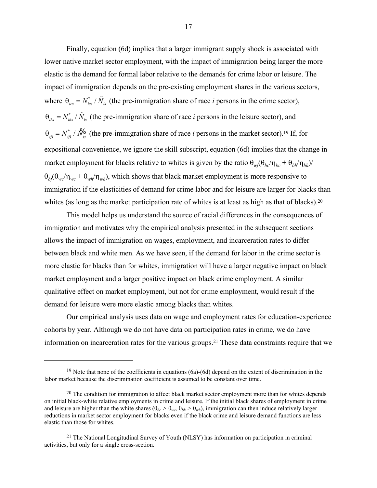Finally, equation (6d) implies that a larger immigrant supply shock is associated with lower native market sector employment, with the impact of immigration being larger the more elastic is the demand for formal labor relative to the demands for crime labor or leisure. The impact of immigration depends on the pre-existing employment shares in the various sectors, where  $\theta_{ics} = N_{ics}^* / \tilde{N}_{is}$  (the pre-immigration share of race *i* persons in the crime sector),  $\theta_{i\theta} = N_{i\theta}^* / \tilde{N}_{i\theta}$  (the pre-immigration share of race *i* persons in the leisure sector), and  $\theta_{ijs} = N_{ijs}^* / N_{is}^{\prime 6}$  (the pre-immigration share of race *i* persons in the market sector).<sup>19</sup> If, for expositional convenience, we ignore the skill subscript, equation (6d) implies that the change in market employment for blacks relative to whites is given by the ratio  $\theta_w(\theta_{bc}/\eta_{bc} + \theta_{bh}/\eta_{bh})$  $\theta_b(\theta_{wc}/\eta_{wc} + \theta_{wh}/\eta_{wh})$ , which shows that black market employment is more responsive to immigration if the elasticities of demand for crime labor and for leisure are larger for blacks than whites (as long as the market participation rate of whites is at least as high as that of blacks).<sup>20</sup>

This model helps us understand the source of racial differences in the consequences of immigration and motivates why the empirical analysis presented in the subsequent sections allows the impact of immigration on wages, employment, and incarceration rates to differ between black and white men. As we have seen, if the demand for labor in the crime sector is more elastic for blacks than for whites, immigration will have a larger negative impact on black market employment and a larger positive impact on black crime employment. A similar qualitative effect on market employment, but not for crime employment, would result if the demand for leisure were more elastic among blacks than whites.

 Our empirical analysis uses data on wage and employment rates for education-experience cohorts by year. Although we do not have data on participation rates in crime, we do have information on incarceration rates for the various groups.21 These data constraints require that we

 $\overline{a}$ 

<sup>&</sup>lt;sup>19</sup> Note that none of the coefficients in equations (6a)-(6d) depend on the extent of discrimination in the labor market because the discrimination coefficient is assumed to be constant over time.

<sup>&</sup>lt;sup>20</sup> The condition for immigration to affect black market sector employment more than for whites depends on initial black-white relative employments in crime and leisure. If the initial black shares of employment in crime and leisure are higher than the white shares ( $\theta_{bc} > \theta_{wc}$ ,  $\theta_{bh} > \theta_{wh}$ ), immigration can then induce relatively larger reductions in market sector employment for blacks even if the black crime and leisure demand functions are less elastic than those for whites.

<sup>21</sup> The National Longitudinal Survey of Youth (NLSY) has information on participation in criminal activities, but only for a single cross-section.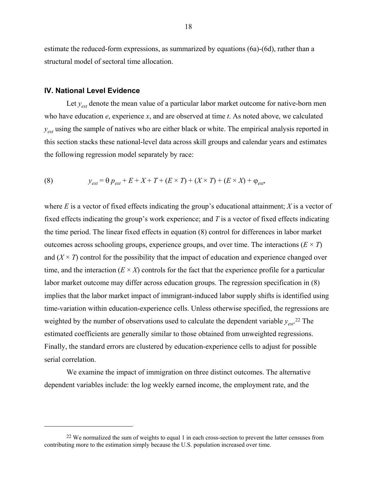estimate the reduced-form expressions, as summarized by equations (6a)-(6d), rather than a structural model of sectoral time allocation.

#### **IV. National Level Evidence**

1

Let  $y_{ext}$  denote the mean value of a particular labor market outcome for native-born men who have education *e*, experience *x*, and are observed at time *t*. As noted above, we calculated *y<sub>ext</sub>* using the sample of natives who are either black or white. The empirical analysis reported in this section stacks these national-level data across skill groups and calendar years and estimates the following regression model separately by race:

(8) 
$$
y_{ext} = \theta p_{ext} + E + X + T + (E \times T) + (X \times T) + (E \times X) + \varphi_{ext},
$$

where *E* is a vector of fixed effects indicating the group's educational attainment; *X* is a vector of fixed effects indicating the group's work experience; and *T* is a vector of fixed effects indicating the time period. The linear fixed effects in equation (8) control for differences in labor market outcomes across schooling groups, experience groups, and over time. The interactions  $(E \times T)$ and  $(X \times T)$  control for the possibility that the impact of education and experience changed over time, and the interaction  $(E \times X)$  controls for the fact that the experience profile for a particular labor market outcome may differ across education groups. The regression specification in (8) implies that the labor market impact of immigrant-induced labor supply shifts is identified using time-variation within education-experience cells. Unless otherwise specified, the regressions are weighted by the number of observations used to calculate the dependent variable *yest*. 22 The estimated coefficients are generally similar to those obtained from unweighted regressions. Finally, the standard errors are clustered by education-experience cells to adjust for possible serial correlation.

 We examine the impact of immigration on three distinct outcomes. The alternative dependent variables include: the log weekly earned income, the employment rate, and the

<sup>&</sup>lt;sup>22</sup> We normalized the sum of weights to equal 1 in each cross-section to prevent the latter censuses from contributing more to the estimation simply because the U.S. population increased over time.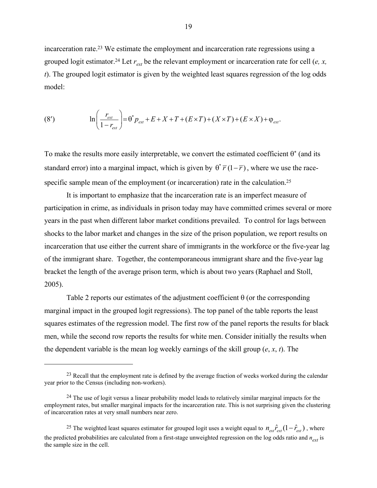incarceration rate.23 We estimate the employment and incarceration rate regressions using a grouped logit estimator.<sup>24</sup> Let  $r_{ext}$  be the relevant employment or incarceration rate for cell (*e, x, t*). The grouped logit estimator is given by the weighted least squares regression of the log odds model:

(8') 
$$
\ln \left( \frac{r_{\text{ext}}}{1 - r_{\text{ext}}} \right) = \theta^* p_{\text{ext}} + E + X + T + (E \times T) + (X \times T) + (E \times X) + \varphi_{\text{ext}}.
$$

To make the results more easily interpretable, we convert the estimated coefficient  $\theta^*$  (and its standard error) into a marginal impact, which is given by  $\theta^* \overline{r} (1 - \overline{r})$ , where we use the racespecific sample mean of the employment (or incarceration) rate in the calculation.<sup>25</sup>

 It is important to emphasize that the incarceration rate is an imperfect measure of participation in crime, as individuals in prison today may have committed crimes several or more years in the past when different labor market conditions prevailed. To control for lags between shocks to the labor market and changes in the size of the prison population, we report results on incarceration that use either the current share of immigrants in the workforce or the five-year lag of the immigrant share. Together, the contemporaneous immigrant share and the five-year lag bracket the length of the average prison term, which is about two years (Raphael and Stoll, 2005).

Table 2 reports our estimates of the adjustment coefficient  $\theta$  (or the corresponding marginal impact in the grouped logit regressions). The top panel of the table reports the least squares estimates of the regression model. The first row of the panel reports the results for black men, while the second row reports the results for white men. Consider initially the results when the dependent variable is the mean log weekly earnings of the skill group (*e*, *x*, *t*). The

 $\overline{a}$ 

<sup>25</sup> The weighted least squares estimator for grouped logit uses a weight equal to  $n_{\text{ext}} \hat{r}_{\text{ext}} (1 - \hat{r}_{\text{ext}})$ , where the predicted probabilities are calculated from a first-stage unweighted regression on the log odds ratio and *next* is the sample size in the cell.

<sup>&</sup>lt;sup>23</sup> Recall that the employment rate is defined by the average fraction of weeks worked during the calendar year prior to the Census (including non-workers).

<sup>&</sup>lt;sup>24</sup> The use of logit versus a linear probability model leads to relatively similar marginal impacts for the employment rates, but smaller marginal impacts for the incarceration rate. This is not surprising given the clustering of incarceration rates at very small numbers near zero.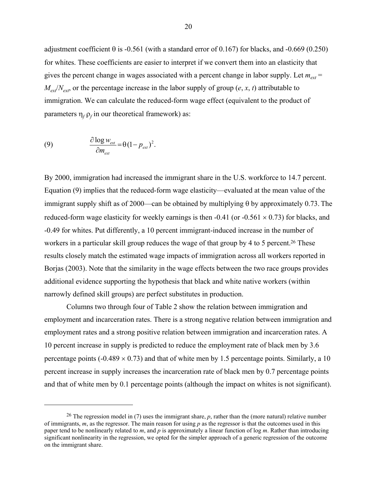adjustment coefficient  $\theta$  is -0.561 (with a standard error of 0.167) for blacks, and -0.669 (0.250) for whites. These coefficients are easier to interpret if we convert them into an elasticity that gives the percent change in wages associated with a percent change in labor supply. Let  $m_{\text{ext}}$  =  $M_{\text{ext}}/N_{\text{ext}}$ , or the percentage increase in the labor supply of group (*e*, *x*, *t*) attributable to immigration. We can calculate the reduced-form wage effect (equivalent to the product of parameters  $\eta_f \rho_f$  in our theoretical framework) as:

(9) 
$$
\frac{\partial \log w_{ext}}{\partial m_{ext}} = \theta (1 - p_{ext})^2.
$$

1

By 2000, immigration had increased the immigrant share in the U.S. workforce to 14.7 percent. Equation (9) implies that the reduced-form wage elasticity—evaluated at the mean value of the immigrant supply shift as of 2000—can be obtained by multiplying  $\theta$  by approximately 0.73. The reduced-form wage elasticity for weekly earnings is then -0.41 (or -0.561  $\times$  0.73) for blacks, and -0.49 for whites. Put differently, a 10 percent immigrant-induced increase in the number of workers in a particular skill group reduces the wage of that group by 4 to 5 percent.<sup>26</sup> These results closely match the estimated wage impacts of immigration across all workers reported in Borjas (2003). Note that the similarity in the wage effects between the two race groups provides additional evidence supporting the hypothesis that black and white native workers (within narrowly defined skill groups) are perfect substitutes in production.

Columns two through four of Table 2 show the relation between immigration and employment and incarceration rates. There is a strong negative relation between immigration and employment rates and a strong positive relation between immigration and incarceration rates. A 10 percent increase in supply is predicted to reduce the employment rate of black men by 3.6 percentage points ( $-0.489 \times 0.73$ ) and that of white men by 1.5 percentage points. Similarly, a 10 percent increase in supply increases the incarceration rate of black men by 0.7 percentage points and that of white men by 0.1 percentage points (although the impact on whites is not significant).

<sup>&</sup>lt;sup>26</sup> The regression model in (7) uses the immigrant share, *p*, rather than the (more natural) relative number of immigrants, *m*, as the regressor. The main reason for using *p* as the regressor is that the outcomes used in this paper tend to be nonlinearly related to *m*, and *p* is approximately a linear function of log *m*. Rather than introducing significant nonlinearity in the regression, we opted for the simpler approach of a generic regression of the outcome on the immigrant share.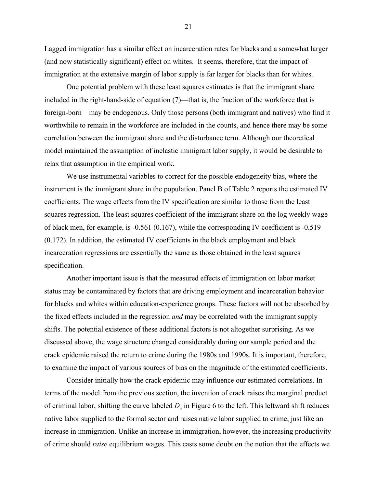Lagged immigration has a similar effect on incarceration rates for blacks and a somewhat larger (and now statistically significant) effect on whites. It seems, therefore, that the impact of immigration at the extensive margin of labor supply is far larger for blacks than for whites.

One potential problem with these least squares estimates is that the immigrant share included in the right-hand-side of equation (7)—that is, the fraction of the workforce that is foreign-born—may be endogenous. Only those persons (both immigrant and natives) who find it worthwhile to remain in the workforce are included in the counts, and hence there may be some correlation between the immigrant share and the disturbance term. Although our theoretical model maintained the assumption of inelastic immigrant labor supply, it would be desirable to relax that assumption in the empirical work.

 We use instrumental variables to correct for the possible endogeneity bias, where the instrument is the immigrant share in the population. Panel B of Table 2 reports the estimated IV coefficients. The wage effects from the IV specification are similar to those from the least squares regression. The least squares coefficient of the immigrant share on the log weekly wage of black men, for example, is -0.561 (0.167), while the corresponding IV coefficient is -0.519 (0.172). In addition, the estimated IV coefficients in the black employment and black incarceration regressions are essentially the same as those obtained in the least squares specification.

Another important issue is that the measured effects of immigration on labor market status may be contaminated by factors that are driving employment and incarceration behavior for blacks and whites within education-experience groups. These factors will not be absorbed by the fixed effects included in the regression *and* may be correlated with the immigrant supply shifts. The potential existence of these additional factors is not altogether surprising. As we discussed above, the wage structure changed considerably during our sample period and the crack epidemic raised the return to crime during the 1980s and 1990s. It is important, therefore, to examine the impact of various sources of bias on the magnitude of the estimated coefficients.

 Consider initially how the crack epidemic may influence our estimated correlations. In terms of the model from the previous section, the invention of crack raises the marginal product of criminal labor, shifting the curve labeled  $D<sub>c</sub>$  in Figure 6 to the left. This leftward shift reduces native labor supplied to the formal sector and raises native labor supplied to crime, just like an increase in immigration. Unlike an increase in immigration, however, the increasing productivity of crime should *raise* equilibrium wages. This casts some doubt on the notion that the effects we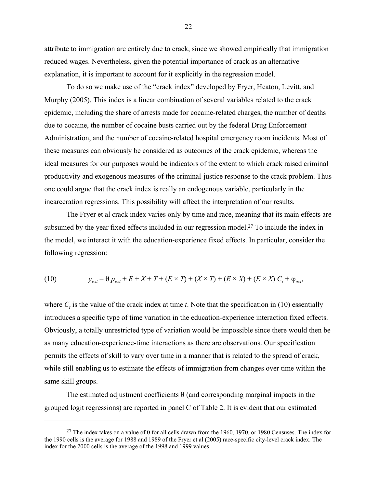attribute to immigration are entirely due to crack, since we showed empirically that immigration reduced wages. Nevertheless, given the potential importance of crack as an alternative explanation, it is important to account for it explicitly in the regression model.

 To do so we make use of the "crack index" developed by Fryer, Heaton, Levitt, and Murphy (2005). This index is a linear combination of several variables related to the crack epidemic, including the share of arrests made for cocaine-related charges, the number of deaths due to cocaine, the number of cocaine busts carried out by the federal Drug Enforcement Administration, and the number of cocaine-related hospital emergency room incidents. Most of these measures can obviously be considered as outcomes of the crack epidemic, whereas the ideal measures for our purposes would be indicators of the extent to which crack raised criminal productivity and exogenous measures of the criminal-justice response to the crack problem. Thus one could argue that the crack index is really an endogenous variable, particularly in the incarceration regressions. This possibility will affect the interpretation of our results.

 The Fryer et al crack index varies only by time and race, meaning that its main effects are subsumed by the year fixed effects included in our regression model.<sup>27</sup> To include the index in the model, we interact it with the education-experience fixed effects. In particular, consider the following regression:

(10) 
$$
y_{ext} = \theta p_{ext} + E + X + T + (E \times T) + (X \times T) + (E \times X) + (E \times X) C_t + \varphi_{ext},
$$

where  $C_t$  is the value of the crack index at time *t*. Note that the specification in (10) essentially introduces a specific type of time variation in the education-experience interaction fixed effects. Obviously, a totally unrestricted type of variation would be impossible since there would then be as many education-experience-time interactions as there are observations. Our specification permits the effects of skill to vary over time in a manner that is related to the spread of crack, while still enabling us to estimate the effects of immigration from changes over time within the same skill groups.

The estimated adjustment coefficients  $\theta$  (and corresponding marginal impacts in the grouped logit regressions) are reported in panel C of Table 2. It is evident that our estimated

 $\overline{a}$ 

<sup>&</sup>lt;sup>27</sup> The index takes on a value of 0 for all cells drawn from the 1960, 1970, or 1980 Censuses. The index for the 1990 cells is the average for 1988 and 1989 of the Fryer et al (2005) race-specific city-level crack index. The index for the 2000 cells is the average of the 1998 and 1999 values.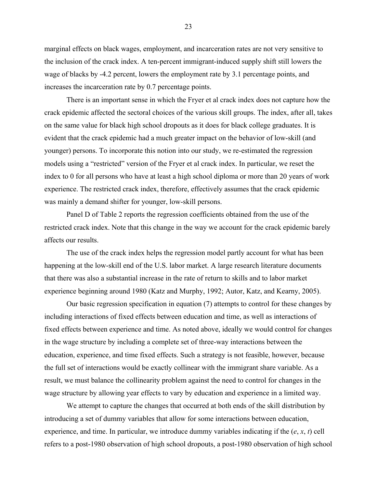marginal effects on black wages, employment, and incarceration rates are not very sensitive to the inclusion of the crack index. A ten-percent immigrant-induced supply shift still lowers the wage of blacks by -4.2 percent, lowers the employment rate by 3.1 percentage points, and increases the incarceration rate by 0.7 percentage points.

 There is an important sense in which the Fryer et al crack index does not capture how the crack epidemic affected the sectoral choices of the various skill groups. The index, after all, takes on the same value for black high school dropouts as it does for black college graduates. It is evident that the crack epidemic had a much greater impact on the behavior of low-skill (and younger) persons. To incorporate this notion into our study, we re-estimated the regression models using a "restricted" version of the Fryer et al crack index. In particular, we reset the index to 0 for all persons who have at least a high school diploma or more than 20 years of work experience. The restricted crack index, therefore, effectively assumes that the crack epidemic was mainly a demand shifter for younger, low-skill persons.

 Panel D of Table 2 reports the regression coefficients obtained from the use of the restricted crack index. Note that this change in the way we account for the crack epidemic barely affects our results.

 The use of the crack index helps the regression model partly account for what has been happening at the low-skill end of the U.S. labor market. A large research literature documents that there was also a substantial increase in the rate of return to skills and to labor market experience beginning around 1980 (Katz and Murphy, 1992; Autor, Katz, and Kearny, 2005).

 Our basic regression specification in equation (7) attempts to control for these changes by including interactions of fixed effects between education and time, as well as interactions of fixed effects between experience and time. As noted above, ideally we would control for changes in the wage structure by including a complete set of three-way interactions between the education, experience, and time fixed effects. Such a strategy is not feasible, however, because the full set of interactions would be exactly collinear with the immigrant share variable. As a result, we must balance the collinearity problem against the need to control for changes in the wage structure by allowing year effects to vary by education and experience in a limited way.

 We attempt to capture the changes that occurred at both ends of the skill distribution by introducing a set of dummy variables that allow for some interactions between education, experience, and time. In particular, we introduce dummy variables indicating if the  $(e, x, t)$  cell refers to a post-1980 observation of high school dropouts, a post-1980 observation of high school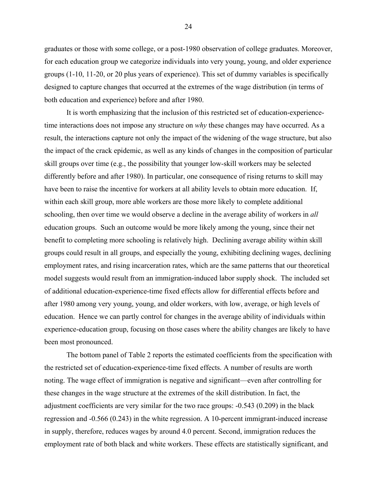graduates or those with some college, or a post-1980 observation of college graduates. Moreover, for each education group we categorize individuals into very young, young, and older experience groups (1-10, 11-20, or 20 plus years of experience). This set of dummy variables is specifically designed to capture changes that occurred at the extremes of the wage distribution (in terms of both education and experience) before and after 1980.

It is worth emphasizing that the inclusion of this restricted set of education-experiencetime interactions does not impose any structure on *why* these changes may have occurred. As a result, the interactions capture not only the impact of the widening of the wage structure, but also the impact of the crack epidemic, as well as any kinds of changes in the composition of particular skill groups over time (e.g., the possibility that younger low-skill workers may be selected differently before and after 1980). In particular, one consequence of rising returns to skill may have been to raise the incentive for workers at all ability levels to obtain more education. If, within each skill group, more able workers are those more likely to complete additional schooling, then over time we would observe a decline in the average ability of workers in *all* education groups. Such an outcome would be more likely among the young, since their net benefit to completing more schooling is relatively high. Declining average ability within skill groups could result in all groups, and especially the young, exhibiting declining wages, declining employment rates, and rising incarceration rates, which are the same patterns that our theoretical model suggests would result from an immigration-induced labor supply shock. The included set of additional education-experience-time fixed effects allow for differential effects before and after 1980 among very young, young, and older workers, with low, average, or high levels of education. Hence we can partly control for changes in the average ability of individuals within experience-education group, focusing on those cases where the ability changes are likely to have been most pronounced.

 The bottom panel of Table 2 reports the estimated coefficients from the specification with the restricted set of education-experience-time fixed effects. A number of results are worth noting. The wage effect of immigration is negative and significant—even after controlling for these changes in the wage structure at the extremes of the skill distribution. In fact, the adjustment coefficients are very similar for the two race groups: -0.543 (0.209) in the black regression and -0.566 (0.243) in the white regression. A 10-percent immigrant-induced increase in supply, therefore, reduces wages by around 4.0 percent. Second, immigration reduces the employment rate of both black and white workers. These effects are statistically significant, and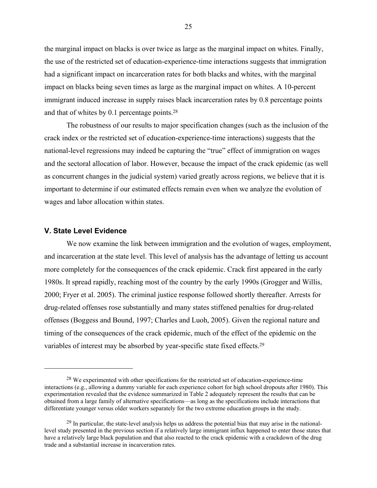the marginal impact on blacks is over twice as large as the marginal impact on whites. Finally, the use of the restricted set of education-experience-time interactions suggests that immigration had a significant impact on incarceration rates for both blacks and whites, with the marginal impact on blacks being seven times as large as the marginal impact on whites. A 10-percent immigrant induced increase in supply raises black incarceration rates by 0.8 percentage points and that of whites by 0.1 percentage points.28

The robustness of our results to major specification changes (such as the inclusion of the crack index or the restricted set of education-experience-time interactions) suggests that the national-level regressions may indeed be capturing the "true" effect of immigration on wages and the sectoral allocation of labor. However, because the impact of the crack epidemic (as well as concurrent changes in the judicial system) varied greatly across regions, we believe that it is important to determine if our estimated effects remain even when we analyze the evolution of wages and labor allocation within states.

#### **V. State Level Evidence**

 $\overline{a}$ 

We now examine the link between immigration and the evolution of wages, employment, and incarceration at the state level. This level of analysis has the advantage of letting us account more completely for the consequences of the crack epidemic. Crack first appeared in the early 1980s. It spread rapidly, reaching most of the country by the early 1990s (Grogger and Willis, 2000; Fryer et al. 2005). The criminal justice response followed shortly thereafter. Arrests for drug-related offenses rose substantially and many states stiffened penalties for drug-related offenses (Boggess and Bound, 1997; Charles and Luoh, 2005). Given the regional nature and timing of the consequences of the crack epidemic, much of the effect of the epidemic on the variables of interest may be absorbed by year-specific state fixed effects.29

<sup>&</sup>lt;sup>28</sup> We experimented with other specifications for the restricted set of education-experience-time interactions (e.g., allowing a dummy variable for each experience cohort for high school dropouts after 1980). This experimentation revealed that the evidence summarized in Table 2 adequately represent the results that can be obtained from a large family of alternative specifications—as long as the specifications include interactions that differentiate younger versus older workers separately for the two extreme education groups in the study.

<sup>&</sup>lt;sup>29</sup> In particular, the state-level analysis helps us address the potential bias that may arise in the nationallevel study presented in the previous section if a relatively large immigrant influx happened to enter those states that have a relatively large black population and that also reacted to the crack epidemic with a crackdown of the drug trade and a substantial increase in incarceration rates.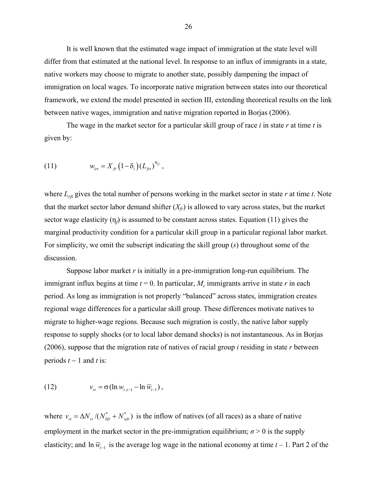It is well known that the estimated wage impact of immigration at the state level will differ from that estimated at the national level. In response to an influx of immigrants in a state, native workers may choose to migrate to another state, possibly dampening the impact of immigration on local wages. To incorporate native migration between states into our theoretical framework, we extend the model presented in section III, extending theoretical results on the link between native wages, immigration and native migration reported in Borjas (2006).

 The wage in the market sector for a particular skill group of race *i* in state *r* at time *t* is given by:

(11) 
$$
w_{irt} = X_{fr} (1 - \delta_i) (L_{fr})^{\eta_f},
$$

where  $L_{rft}$  gives the total number of persons working in the market sector in state  $r$  at time  $t$ . Note that the market sector labor demand shifter  $(X<sub>f</sub>)$  is allowed to vary across states, but the market sector wage elasticity  $(\eta_f)$  is assumed to be constant across states. Equation (11) gives the marginal productivity condition for a particular skill group in a particular regional labor market. For simplicity, we omit the subscript indicating the skill group (*s*) throughout some of the discussion.

 Suppose labor market *r* is initially in a pre-immigration long-run equilibrium. The immigrant influx begins at time  $t = 0$ . In particular,  $M_r$  immigrants arrive in state  $r$  in each period. As long as immigration is not properly "balanced" across states, immigration creates regional wage differences for a particular skill group. These differences motivate natives to migrate to higher-wage regions. Because such migration is costly, the native labor supply response to supply shocks (or to local labor demand shocks) is not instantaneous. As in Borjas (2006), suppose that the migration rate of natives of racial group *i* residing in state *r* between periods  $t - 1$  and  $t$  is:

(12) 
$$
v_{rt} = \sigma (\ln w_{r,t-1} - \ln \overline{w}_{t-1}),
$$

where  $v_{rt} = \Delta N_{rt} / (N_{bt}^* + N_{wt}^*)$  is the inflow of natives (of all races) as a share of native employment in the market sector in the pre-immigration equilibrium;  $\sigma$  > 0 is the supply elasticity; and  $\ln \overline{w}_{t-1}$  is the average log wage in the national economy at time *t* – 1. Part 2 of the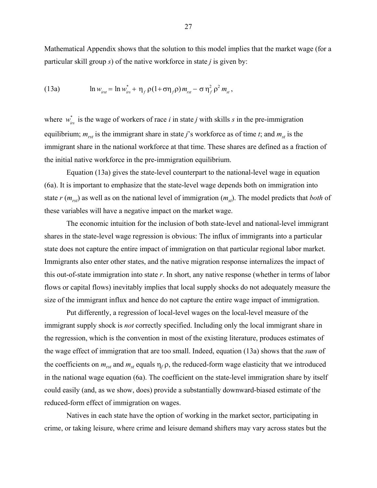Mathematical Appendix shows that the solution to this model implies that the market wage (for a particular skill group *s*) of the native workforce in state *j* is given by:

(13a) 
$$
\ln w_{\text{inst}} = \ln w_{\text{irs}}^* + \eta_f \rho (1 + \sigma \eta_f \rho) m_{\text{rst}} - \sigma \eta_f^2 \rho^2 m_{\text{st}},
$$

where  $w_{irs}^*$  is the wage of workers of race *i* in state *j* with skills *s* in the pre-immigration equilibrium;  $m_{rst}$  is the immigrant share in state *j*'s workforce as of time *t*; and  $m_{st}$  is the immigrant share in the national workforce at that time. These shares are defined as a fraction of the initial native workforce in the pre-immigration equilibrium.

 Equation (13a) gives the state-level counterpart to the national-level wage in equation (6a). It is important to emphasize that the state-level wage depends both on immigration into state  $r$  ( $m_{rst}$ ) as well as on the national level of immigration ( $m_{st}$ ). The model predicts that *both* of these variables will have a negative impact on the market wage.

The economic intuition for the inclusion of both state-level and national-level immigrant shares in the state-level wage regression is obvious: The influx of immigrants into a particular state does not capture the entire impact of immigration on that particular regional labor market. Immigrants also enter other states, and the native migration response internalizes the impact of this out-of-state immigration into state *r*. In short, any native response (whether in terms of labor flows or capital flows) inevitably implies that local supply shocks do not adequately measure the size of the immigrant influx and hence do not capture the entire wage impact of immigration.

Put differently, a regression of local-level wages on the local-level measure of the immigrant supply shock is *not* correctly specified. Including only the local immigrant share in the regression, which is the convention in most of the existing literature, produces estimates of the wage effect of immigration that are too small. Indeed, equation (13a) shows that the *sum* of the coefficients on  $m_{rst}$  and  $m_{st}$  equals  $\eta_f \rho$ , the reduced-form wage elasticity that we introduced in the national wage equation (6a). The coefficient on the state-level immigration share by itself could easily (and, as we show, does) provide a substantially downward-biased estimate of the reduced-form effect of immigration on wages.

 Natives in each state have the option of working in the market sector, participating in crime, or taking leisure, where crime and leisure demand shifters may vary across states but the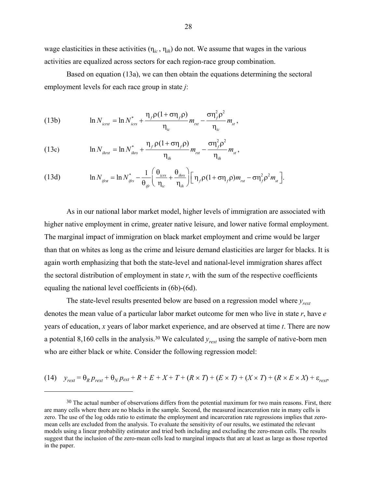wage elasticities in these activities  $(\eta_{ic}, \eta_{ih})$  do not. We assume that wages in the various activities are equalized across sectors for each region-race group combination.

Based on equation (13a), we can then obtain the equations determining the sectoral employment levels for each race group in state *j*:

(13b) 
$$
\ln N_{icrst} = \ln N_{icrs}^* + \frac{\eta_f \rho (1 + \sigma \eta_f \rho)}{\eta_{ic}} m_{rst} - \frac{\sigma \eta_f^2 \rho^2}{\eta_{ic}} m_{st},
$$

(13c) 
$$
\ln N_{\text{thrst}} = \ln N_{\text{thrs}}^* + \frac{\eta_f \rho (1 + \sigma \eta_f \rho)}{\eta_{\text{th}}} m_{\text{rst}} - \frac{\sigma \eta_f^2 \rho^2}{\eta_{\text{th}}} m_{\text{st}},
$$

(13d) 
$$
\ln N_{ijrs} = \ln N_{ijrs}^* - \frac{1}{\theta_{ijr}} \left( \frac{\theta_{icrs}}{\eta_{ic}} + \frac{\theta_{ihrs}}{\eta_{ih}} \right) \left[ \eta_f \rho (1 + \sigma \eta_f \rho) m_{rst} - \sigma \eta_f^2 \rho^2 m_{st} \right].
$$

As in our national labor market model, higher levels of immigration are associated with higher native employment in crime, greater native leisure, and lower native formal employment. The marginal impact of immigration on black market employment and crime would be larger than that on whites as long as the crime and leisure demand elasticities are larger for blacks. It is again worth emphasizing that both the state-level and national-level immigration shares affect the sectoral distribution of employment in state  $r$ , with the sum of the respective coefficients equaling the national level coefficients in (6b)-(6d).

The state-level results presented below are based on a regression model where *yrext* denotes the mean value of a particular labor market outcome for men who live in state *r*, have *e* years of education, *x* years of labor market experience, and are observed at time *t*. There are now a potential 8,160 cells in the analysis.30 We calculated *yrext* using the sample of native-born men who are either black or white. Consider the following regression model:

(14) 
$$
y_{\text{rest}} = \theta_R p_{\text{rest}} + \theta_N p_{\text{ext}} + R + E + X + T + (R \times T) + (E \times T) + (X \times T) + (R \times E \times X) + \varepsilon_{\text{rest}},
$$

<u>.</u>

<sup>&</sup>lt;sup>30</sup> The actual number of observations differs from the potential maximum for two main reasons. First, there are many cells where there are no blacks in the sample. Second, the measured incarceration rate in many cells is zero. The use of the log odds ratio to estimate the employment and incarceration rate regressions implies that zeromean cells are excluded from the analysis. To evaluate the sensitivity of our results, we estimated the relevant models using a linear probability estimator and tried both including and excluding the zero-mean cells. The results suggest that the inclusion of the zero-mean cells lead to marginal impacts that are at least as large as those reported in the paper.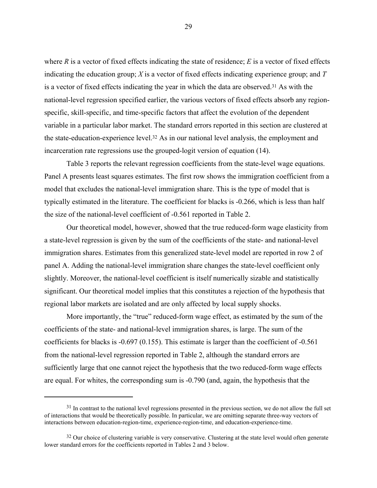where  $R$  is a vector of fixed effects indicating the state of residence;  $E$  is a vector of fixed effects indicating the education group; *X* is a vector of fixed effects indicating experience group; and *T* is a vector of fixed effects indicating the year in which the data are observed.31 As with the national-level regression specified earlier, the various vectors of fixed effects absorb any regionspecific, skill-specific, and time-specific factors that affect the evolution of the dependent variable in a particular labor market. The standard errors reported in this section are clustered at the state-education-experience level.32 As in our national level analysis, the employment and incarceration rate regressions use the grouped-logit version of equation (14).

Table 3 reports the relevant regression coefficients from the state-level wage equations. Panel A presents least squares estimates. The first row shows the immigration coefficient from a model that excludes the national-level immigration share. This is the type of model that is typically estimated in the literature. The coefficient for blacks is -0.266, which is less than half the size of the national-level coefficient of -0.561 reported in Table 2.

Our theoretical model, however, showed that the true reduced-form wage elasticity from a state-level regression is given by the sum of the coefficients of the state- and national-level immigration shares. Estimates from this generalized state-level model are reported in row 2 of panel A. Adding the national-level immigration share changes the state-level coefficient only slightly. Moreover, the national-level coefficient is itself numerically sizable and statistically significant. Our theoretical model implies that this constitutes a rejection of the hypothesis that regional labor markets are isolated and are only affected by local supply shocks.

More importantly, the "true" reduced-form wage effect, as estimated by the sum of the coefficients of the state- and national-level immigration shares, is large. The sum of the coefficients for blacks is -0.697 (0.155). This estimate is larger than the coefficient of -0.561 from the national-level regression reported in Table 2, although the standard errors are sufficiently large that one cannot reject the hypothesis that the two reduced-form wage effects are equal. For whites, the corresponding sum is -0.790 (and, again, the hypothesis that the

 $31$  In contrast to the national level regressions presented in the previous section, we do not allow the full set of interactions that would be theoretically possible. In particular, we are omitting separate three-way vectors of interactions between education-region-time, experience-region-time, and education-experience-time.

<sup>&</sup>lt;sup>32</sup> Our choice of clustering variable is very conservative. Clustering at the state level would often generate lower standard errors for the coefficients reported in Tables 2 and 3 below.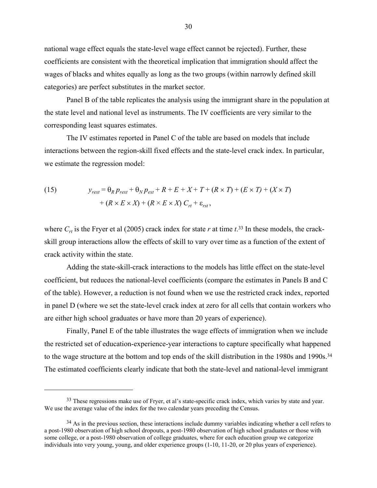national wage effect equals the state-level wage effect cannot be rejected). Further, these coefficients are consistent with the theoretical implication that immigration should affect the wages of blacks and whites equally as long as the two groups (within narrowly defined skill categories) are perfect substitutes in the market sector.

 Panel B of the table replicates the analysis using the immigrant share in the population at the state level and national level as instruments. The IV coefficients are very similar to the corresponding least squares estimates.

The IV estimates reported in Panel C of the table are based on models that include interactions between the region-skill fixed effects and the state-level crack index. In particular, we estimate the regression model:

(15) 
$$
y_{\text{text}} = \theta_R p_{\text{text}} + \theta_N p_{\text{ext}} + R + E + X + T + (R \times T) + (E \times T) + (X \times T)
$$

$$
+ (R \times E \times X) + (R \times E \times X) C_{rt} + \varepsilon_{rst},
$$

where  $C_{rt}$  is the Fryer et al (2005) crack index for state  $r$  at time  $t^{33}$  In these models, the crackskill group interactions allow the effects of skill to vary over time as a function of the extent of crack activity within the state.

Adding the state-skill-crack interactions to the models has little effect on the state-level coefficient, but reduces the national-level coefficients (compare the estimates in Panels B and C of the table). However, a reduction is not found when we use the restricted crack index, reported in panel D (where we set the state-level crack index at zero for all cells that contain workers who are either high school graduates or have more than 20 years of experience).

 Finally, Panel E of the table illustrates the wage effects of immigration when we include the restricted set of education-experience-year interactions to capture specifically what happened to the wage structure at the bottom and top ends of the skill distribution in the 1980s and 1990s.<sup>34</sup> The estimated coefficients clearly indicate that both the state-level and national-level immigrant

<sup>&</sup>lt;sup>33</sup> These regressions make use of Fryer, et al's state-specific crack index, which varies by state and year. We use the average value of the index for the two calendar years preceding the Census.

<sup>&</sup>lt;sup>34</sup> As in the previous section, these interactions include dummy variables indicating whether a cell refers to a post-1980 observation of high school dropouts, a post-1980 observation of high school graduates or those with some college, or a post-1980 observation of college graduates, where for each education group we categorize individuals into very young, young, and older experience groups (1-10, 11-20, or 20 plus years of experience).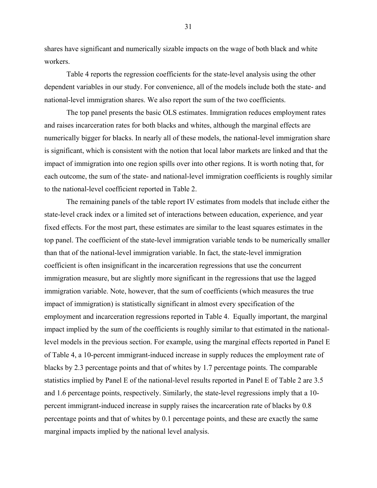shares have significant and numerically sizable impacts on the wage of both black and white workers.

Table 4 reports the regression coefficients for the state-level analysis using the other dependent variables in our study. For convenience, all of the models include both the state- and national-level immigration shares. We also report the sum of the two coefficients.

The top panel presents the basic OLS estimates. Immigration reduces employment rates and raises incarceration rates for both blacks and whites, although the marginal effects are numerically bigger for blacks. In nearly all of these models, the national-level immigration share is significant, which is consistent with the notion that local labor markets are linked and that the impact of immigration into one region spills over into other regions. It is worth noting that, for each outcome, the sum of the state- and national-level immigration coefficients is roughly similar to the national-level coefficient reported in Table 2.

 The remaining panels of the table report IV estimates from models that include either the state-level crack index or a limited set of interactions between education, experience, and year fixed effects. For the most part, these estimates are similar to the least squares estimates in the top panel. The coefficient of the state-level immigration variable tends to be numerically smaller than that of the national-level immigration variable. In fact, the state-level immigration coefficient is often insignificant in the incarceration regressions that use the concurrent immigration measure, but are slightly more significant in the regressions that use the lagged immigration variable. Note, however, that the sum of coefficients (which measures the true impact of immigration) is statistically significant in almost every specification of the employment and incarceration regressions reported in Table 4. Equally important, the marginal impact implied by the sum of the coefficients is roughly similar to that estimated in the nationallevel models in the previous section. For example, using the marginal effects reported in Panel E of Table 4, a 10-percent immigrant-induced increase in supply reduces the employment rate of blacks by 2.3 percentage points and that of whites by 1.7 percentage points. The comparable statistics implied by Panel E of the national-level results reported in Panel E of Table 2 are 3.5 and 1.6 percentage points, respectively. Similarly, the state-level regressions imply that a 10 percent immigrant-induced increase in supply raises the incarceration rate of blacks by 0.8 percentage points and that of whites by 0.1 percentage points, and these are exactly the same marginal impacts implied by the national level analysis.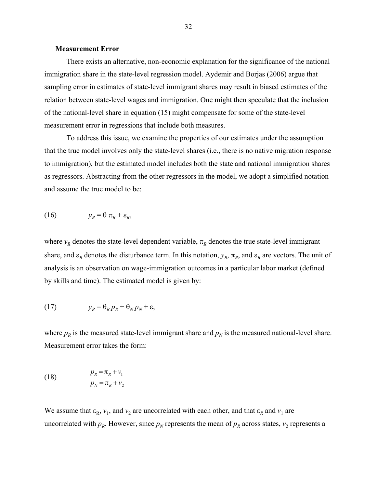#### **Measurement Error**

 There exists an alternative, non-economic explanation for the significance of the national immigration share in the state-level regression model. Aydemir and Borjas (2006) argue that sampling error in estimates of state-level immigrant shares may result in biased estimates of the relation between state-level wages and immigration. One might then speculate that the inclusion of the national-level share in equation (15) might compensate for some of the state-level measurement error in regressions that include both measures.

 To address this issue, we examine the properties of our estimates under the assumption that the true model involves only the state-level shares (i.e., there is no native migration response to immigration), but the estimated model includes both the state and national immigration shares as regressors. Abstracting from the other regressors in the model, we adopt a simplified notation and assume the true model to be:

$$
(16) \t y_R = \theta \pi_R + \varepsilon_R,
$$

where  $y_R$  denotes the state-level dependent variable,  $\pi_R$  denotes the true state-level immigrant share, and  $\varepsilon_R$  denotes the disturbance term. In this notation,  $y_R$ ,  $\pi_R$ , and  $\varepsilon_R$  are vectors. The unit of analysis is an observation on wage-immigration outcomes in a particular labor market (defined by skills and time). The estimated model is given by:

(17) 
$$
y_R = \theta_R p_R + \theta_N p_N + \varepsilon,
$$

where  $p_R$  is the measured state-level immigrant share and  $p_N$  is the measured national-level share. Measurement error takes the form:

(18) 
$$
p_R = \pi_R + v_1
$$

$$
p_N = \pi_R + v_2
$$

We assume that  $\varepsilon_R$ ,  $v_1$ , and  $v_2$  are uncorrelated with each other, and that  $\varepsilon_R$  and  $v_1$  are uncorrelated with  $p_R$ . However, since  $p_N$  represents the mean of  $p_R$  across states,  $v_2$  represents a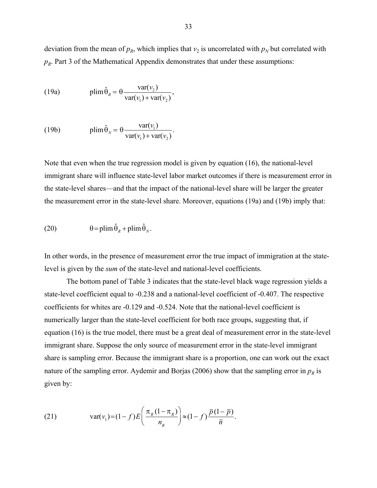deviation from the mean of  $p_R$ , which implies that  $v_2$  is uncorrelated with  $p_N$  but correlated with  $p_R$ . Part 3 of the Mathematical Appendix demonstrates that under these assumptions:

(19a) 
$$
\text{plim}\,\hat{\theta}_R = \theta \frac{\text{var}(v_2)}{\text{var}(v_1) + \text{var}(v_2)},
$$

(19b) 
$$
\text{plim}\,\hat{\theta}_N = \theta \frac{\text{var}(v_1)}{\text{var}(v_1) + \text{var}(v_2)}.
$$

Note that even when the true regression model is given by equation (16), the national-level immigrant share will influence state-level labor market outcomes if there is measurement error in the state-level shares—and that the impact of the national-level share will be larger the greater the measurement error in the state-level share. Moreover, equations (19a) and (19b) imply that:

(20) 
$$
\theta = \text{plim}\,\hat{\theta}_R + \text{plim}\,\hat{\theta}_N.
$$

In other words, in the presence of measurement error the true impact of immigration at the statelevel is given by the *sum* of the state-level and national-level coefficients.

The bottom panel of Table 3 indicates that the state-level black wage regression yields a state-level coefficient equal to -0.238 and a national-level coefficient of -0.407. The respective coefficients for whites are -0.129 and -0.524. Note that the national-level coefficient is numerically larger than the state-level coefficient for both race groups, suggesting that, if equation (16) is the true model, there must be a great deal of measurement error in the state-level immigrant share. Suppose the only source of measurement error in the state-level immigrant share is sampling error. Because the immigrant share is a proportion, one can work out the exact nature of the sampling error. Aydemir and Borjas (2006) show that the sampling error in  $p<sub>R</sub>$  is given by:

(21) 
$$
\text{var}(v_1) = (1 - f)E\left(\frac{\pi_R(1 - \pi_R)}{n_R}\right) \approx (1 - f)\frac{\bar{p}(1 - \bar{p})}{\bar{n}}.
$$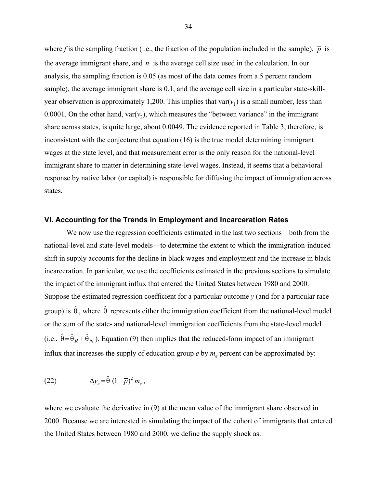where f is the sampling fraction (i.e., the fraction of the population included in the sample),  $\bar{p}$  is the average immigrant share, and  $\bar{n}$  is the average cell size used in the calculation. In our analysis, the sampling fraction is 0.05 (as most of the data comes from a 5 percent random sample), the average immigrant share is 0.1, and the average cell size in a particular state-skillyear observation is approximately 1,200. This implies that  $var(v_1)$  is a small number, less than 0.0001. On the other hand,  $var(v_2)$ , which measures the "between variance" in the immigrant share across states, is quite large, about 0.0049. The evidence reported in Table 3, therefore, is inconsistent with the conjecture that equation (16) is the true model determining immigrant wages at the state level, and that measurement error is the only reason for the national-level immigrant share to matter in determining state-level wages. Instead, it seems that a behavioral response by native labor (or capital) is responsible for diffusing the impact of immigration across states.

#### **VI. Accounting for the Trends in Employment and Incarceration Rates**

 We now use the regression coefficients estimated in the last two sections—both from the national-level and state-level models—to determine the extent to which the immigration-induced shift in supply accounts for the decline in black wages and employment and the increase in black incarceration. In particular, we use the coefficients estimated in the previous sections to simulate the impact of the immigrant influx that entered the United States between 1980 and 2000. Suppose the estimated regression coefficient for a particular outcome *y* (and for a particular race group) is  $\hat{\theta}$ , where  $\hat{\theta}$  represents either the immigration coefficient from the national-level model or the sum of the state- and national-level immigration coefficients from the state-level model (i.e.,  $\hat{\theta} = \hat{\theta}_R + \hat{\theta}_N$ ). Equation (9) then implies that the reduced-form impact of an immigrant influx that increases the supply of education group  $e$  by  $m_e$  percent can be approximated by:

(22) 
$$
\Delta y_e = \hat{\theta} \left(1 - \overline{p}\right)^2 m_e,
$$

where we evaluate the derivative in (9) at the mean value of the immigrant share observed in 2000. Because we are interested in simulating the impact of the cohort of immigrants that entered the United States between 1980 and 2000, we define the supply shock as: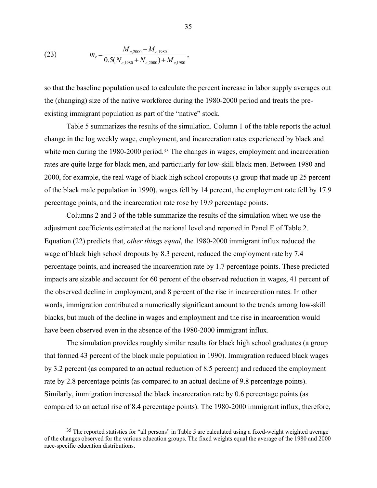(23) 
$$
m_e = \frac{M_{e,2000} - M_{e,1980}}{0.5(N_{e,1980} + N_{e,2000}) + M_{e,1980}},
$$

 $\overline{a}$ 

so that the baseline population used to calculate the percent increase in labor supply averages out the (changing) size of the native workforce during the 1980-2000 period and treats the preexisting immigrant population as part of the "native" stock.

Table 5 summarizes the results of the simulation. Column 1 of the table reports the actual change in the log weekly wage, employment, and incarceration rates experienced by black and white men during the 1980-2000 period.<sup>35</sup> The changes in wages, employment and incarceration rates are quite large for black men, and particularly for low-skill black men. Between 1980 and 2000, for example, the real wage of black high school dropouts (a group that made up 25 percent of the black male population in 1990), wages fell by 14 percent, the employment rate fell by 17.9 percentage points, and the incarceration rate rose by 19.9 percentage points.

Columns 2 and 3 of the table summarize the results of the simulation when we use the adjustment coefficients estimated at the national level and reported in Panel E of Table 2. Equation (22) predicts that, *other things equal*, the 1980-2000 immigrant influx reduced the wage of black high school dropouts by 8.3 percent, reduced the employment rate by 7.4 percentage points, and increased the incarceration rate by 1.7 percentage points. These predicted impacts are sizable and account for 60 percent of the observed reduction in wages, 41 percent of the observed decline in employment, and 8 percent of the rise in incarceration rates. In other words, immigration contributed a numerically significant amount to the trends among low-skill blacks, but much of the decline in wages and employment and the rise in incarceration would have been observed even in the absence of the 1980-2000 immigrant influx.

The simulation provides roughly similar results for black high school graduates (a group that formed 43 percent of the black male population in 1990). Immigration reduced black wages by 3.2 percent (as compared to an actual reduction of 8.5 percent) and reduced the employment rate by 2.8 percentage points (as compared to an actual decline of 9.8 percentage points). Similarly, immigration increased the black incarceration rate by 0.6 percentage points (as compared to an actual rise of 8.4 percentage points). The 1980-2000 immigrant influx, therefore,

<sup>&</sup>lt;sup>35</sup> The reported statistics for "all persons" in Table 5 are calculated using a fixed-weight weighted average of the changes observed for the various education groups. The fixed weights equal the average of the 1980 and 2000 race-specific education distributions.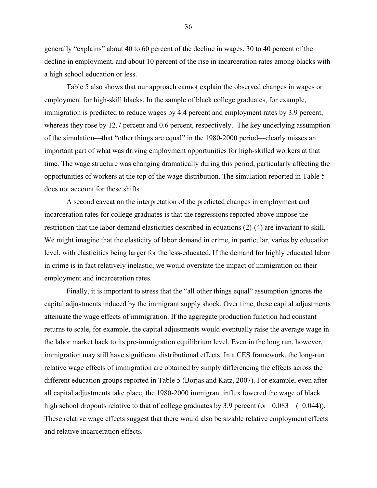generally "explains" about 40 to 60 percent of the decline in wages, 30 to 40 percent of the decline in employment, and about 10 percent of the rise in incarceration rates among blacks with a high school education or less.

Table 5 also shows that our approach cannot explain the observed changes in wages or employment for high-skill blacks. In the sample of black college graduates, for example, immigration is predicted to reduce wages by 4.4 percent and employment rates by 3.9 percent, whereas they rose by 12.7 percent and 0.6 percent, respectively. The key underlying assumption of the simulation—that "other things are equal" in the 1980-2000 period—clearly misses an important part of what was driving employment opportunities for high-skilled workers at that time. The wage structure was changing dramatically during this period, particularly affecting the opportunities of workers at the top of the wage distribution. The simulation reported in Table 5 does not account for these shifts.

A second caveat on the interpretation of the predicted changes in employment and incarceration rates for college graduates is that the regressions reported above impose the restriction that the labor demand elasticities described in equations (2)-(4) are invariant to skill. We might imagine that the elasticity of labor demand in crime, in particular, varies by education level, with elasticities being larger for the less-educated. If the demand for highly educated labor in crime is in fact relatively inelastic, we would overstate the impact of immigration on their employment and incarceration rates.

Finally, it is important to stress that the "all other things equal" assumption ignores the capital adjustments induced by the immigrant supply shock. Over time, these capital adjustments attenuate the wage effects of immigration. If the aggregate production function had constant returns to scale, for example, the capital adjustments would eventually raise the average wage in the labor market back to its pre-immigration equilibrium level. Even in the long run, however, immigration may still have significant distributional effects. In a CES framework, the long-run relative wage effects of immigration are obtained by simply differencing the effects across the different education groups reported in Table 5 (Borjas and Katz, 2007). For example, even after all capital adjustments take place, the 1980-2000 immigrant influx lowered the wage of black high school dropouts relative to that of college graduates by 3.9 percent (or  $-0.083 - (-0.044)$ ). These relative wage effects suggest that there would also be sizable relative employment effects and relative incarceration effects.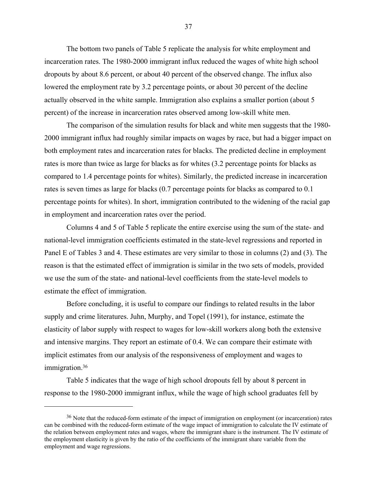The bottom two panels of Table 5 replicate the analysis for white employment and incarceration rates. The 1980-2000 immigrant influx reduced the wages of white high school dropouts by about 8.6 percent, or about 40 percent of the observed change. The influx also lowered the employment rate by 3.2 percentage points, or about 30 percent of the decline actually observed in the white sample. Immigration also explains a smaller portion (about 5 percent) of the increase in incarceration rates observed among low-skill white men.

The comparison of the simulation results for black and white men suggests that the 1980- 2000 immigrant influx had roughly similar impacts on wages by race, but had a bigger impact on both employment rates and incarceration rates for blacks. The predicted decline in employment rates is more than twice as large for blacks as for whites (3.2 percentage points for blacks as compared to 1.4 percentage points for whites). Similarly, the predicted increase in incarceration rates is seven times as large for blacks (0.7 percentage points for blacks as compared to 0.1 percentage points for whites). In short, immigration contributed to the widening of the racial gap in employment and incarceration rates over the period.

Columns 4 and 5 of Table 5 replicate the entire exercise using the sum of the state- and national-level immigration coefficients estimated in the state-level regressions and reported in Panel E of Tables 3 and 4. These estimates are very similar to those in columns (2) and (3). The reason is that the estimated effect of immigration is similar in the two sets of models, provided we use the sum of the state- and national-level coefficients from the state-level models to estimate the effect of immigration.

 Before concluding, it is useful to compare our findings to related results in the labor supply and crime literatures. Juhn, Murphy, and Topel (1991), for instance, estimate the elasticity of labor supply with respect to wages for low-skill workers along both the extensive and intensive margins. They report an estimate of 0.4. We can compare their estimate with implicit estimates from our analysis of the responsiveness of employment and wages to immigration.<sup>36</sup>

 Table 5 indicates that the wage of high school dropouts fell by about 8 percent in response to the 1980-2000 immigrant influx, while the wage of high school graduates fell by

<u>.</u>

<sup>&</sup>lt;sup>36</sup> Note that the reduced-form estimate of the impact of immigration on employment (or incarceration) rates can be combined with the reduced-form estimate of the wage impact of immigration to calculate the IV estimate of the relation between employment rates and wages, where the immigrant share is the instrument. The IV estimate of the employment elasticity is given by the ratio of the coefficients of the immigrant share variable from the employment and wage regressions.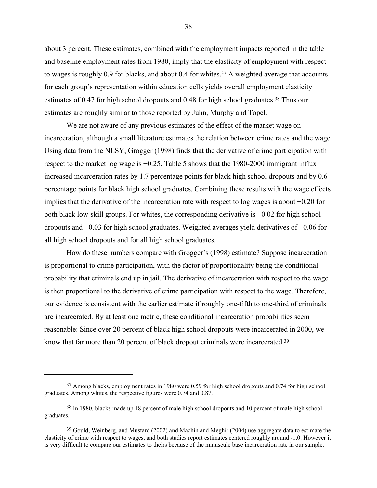about 3 percent. These estimates, combined with the employment impacts reported in the table and baseline employment rates from 1980, imply that the elasticity of employment with respect to wages is roughly 0.9 for blacks, and about 0.4 for whites.<sup>37</sup> A weighted average that accounts for each group's representation within education cells yields overall employment elasticity estimates of 0.47 for high school dropouts and 0.48 for high school graduates.<sup>38</sup> Thus our estimates are roughly similar to those reported by Juhn, Murphy and Topel.

 We are not aware of any previous estimates of the effect of the market wage on incarceration, although a small literature estimates the relation between crime rates and the wage. Using data from the NLSY, Grogger (1998) finds that the derivative of crime participation with respect to the market log wage is −0.25. Table 5 shows that the 1980-2000 immigrant influx increased incarceration rates by 1.7 percentage points for black high school dropouts and by 0.6 percentage points for black high school graduates. Combining these results with the wage effects implies that the derivative of the incarceration rate with respect to log wages is about −0.20 for both black low-skill groups. For whites, the corresponding derivative is −0.02 for high school dropouts and −0.03 for high school graduates. Weighted averages yield derivatives of −0.06 for all high school dropouts and for all high school graduates.

 How do these numbers compare with Grogger's (1998) estimate? Suppose incarceration is proportional to crime participation, with the factor of proportionality being the conditional probability that criminals end up in jail. The derivative of incarceration with respect to the wage is then proportional to the derivative of crime participation with respect to the wage. Therefore, our evidence is consistent with the earlier estimate if roughly one-fifth to one-third of criminals are incarcerated. By at least one metric, these conditional incarceration probabilities seem reasonable: Since over 20 percent of black high school dropouts were incarcerated in 2000, we know that far more than 20 percent of black dropout criminals were incarcerated.<sup>39</sup>

 $\overline{a}$ 

<sup>37</sup> Among blacks, employment rates in 1980 were 0.59 for high school dropouts and 0.74 for high school graduates. Among whites, the respective figures were 0.74 and 0.87.

<sup>38</sup> In 1980, blacks made up 18 percent of male high school dropouts and 10 percent of male high school graduates.

<sup>&</sup>lt;sup>39</sup> Gould, Weinberg, and Mustard (2002) and Machin and Meghir (2004) use aggregate data to estimate the elasticity of crime with respect to wages, and both studies report estimates centered roughly around -1.0. However it is very difficult to compare our estimates to theirs because of the minuscule base incarceration rate in our sample.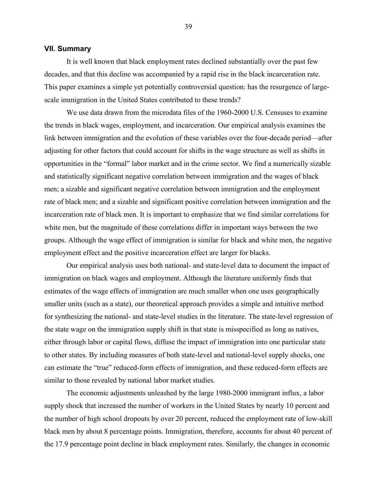#### **VII. Summary**

 It is well known that black employment rates declined substantially over the past few decades, and that this decline was accompanied by a rapid rise in the black incarceration rate. This paper examines a simple yet potentially controversial question: has the resurgence of largescale immigration in the United States contributed to these trends?

 We use data drawn from the microdata files of the 1960-2000 U.S. Censuses to examine the trends in black wages, employment, and incarceration. Our empirical analysis examines the link between immigration and the evolution of these variables over the four-decade period—after adjusting for other factors that could account for shifts in the wage structure as well as shifts in opportunities in the "formal" labor market and in the crime sector. We find a numerically sizable and statistically significant negative correlation between immigration and the wages of black men; a sizable and significant negative correlation between immigration and the employment rate of black men; and a sizable and significant positive correlation between immigration and the incarceration rate of black men. It is important to emphasize that we find similar correlations for white men, but the magnitude of these correlations differ in important ways between the two groups. Although the wage effect of immigration is similar for black and white men, the negative employment effect and the positive incarceration effect are larger for blacks.

 Our empirical analysis uses both national- and state-level data to document the impact of immigration on black wages and employment. Although the literature uniformly finds that estimates of the wage effects of immigration are much smaller when one uses geographically smaller units (such as a state), our theoretical approach provides a simple and intuitive method for synthesizing the national- and state-level studies in the literature. The state-level regression of the state wage on the immigration supply shift in that state is misspecified as long as natives, either through labor or capital flows, diffuse the impact of immigration into one particular state to other states. By including measures of both state-level and national-level supply shocks, one can estimate the "true" reduced-form effects of immigration, and these reduced-form effects are similar to those revealed by national labor market studies.

 The economic adjustments unleashed by the large 1980-2000 immigrant influx, a labor supply shock that increased the number of workers in the United States by nearly 10 percent and the number of high school dropouts by over 20 percent, reduced the employment rate of low-skill black men by about 8 percentage points. Immigration, therefore, accounts for about 40 percent of the 17.9 percentage point decline in black employment rates. Similarly, the changes in economic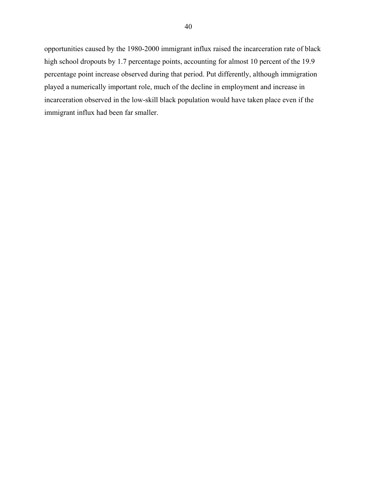opportunities caused by the 1980-2000 immigrant influx raised the incarceration rate of black high school dropouts by 1.7 percentage points, accounting for almost 10 percent of the 19.9 percentage point increase observed during that period. Put differently, although immigration played a numerically important role, much of the decline in employment and increase in incarceration observed in the low-skill black population would have taken place even if the immigrant influx had been far smaller.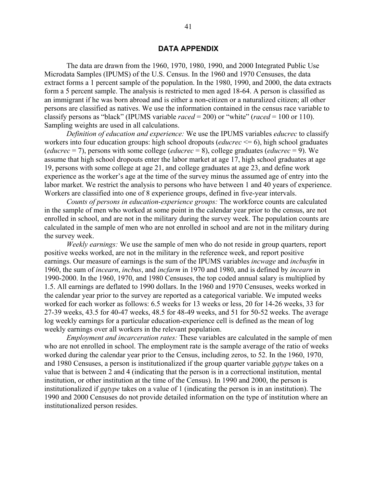# **DATA APPENDIX**

The data are drawn from the 1960, 1970, 1980, 1990, and 2000 Integrated Public Use Microdata Samples (IPUMS) of the U.S. Census. In the 1960 and 1970 Censuses, the data extract forms a 1 percent sample of the population. In the 1980, 1990, and 2000, the data extracts form a 5 percent sample. The analysis is restricted to men aged 18-64. A person is classified as an immigrant if he was born abroad and is either a non-citizen or a naturalized citizen; all other persons are classified as natives. We use the information contained in the census race variable to classify persons as "black" (IPUMS variable *raced* = 200) or "white" (*raced* = 100 or 110). Sampling weights are used in all calculations.

*Definition of education and experience:* We use the IPUMS variables *educrec* to classify workers into four education groups: high school dropouts (*educrec* <= 6), high school graduates (*educrec* = 7), persons with some college (*educrec* = 8), college graduates (*educrec* = 9). We assume that high school dropouts enter the labor market at age 17, high school graduates at age 19, persons with some college at age 21, and college graduates at age 23, and define work experience as the worker's age at the time of the survey minus the assumed age of entry into the labor market. We restrict the analysis to persons who have between 1 and 40 years of experience. Workers are classified into one of 8 experience groups, defined in five-year intervals.

*Counts of persons in education-experience groups:* The workforce counts are calculated in the sample of men who worked at some point in the calendar year prior to the census, are not enrolled in school, and are not in the military during the survey week. The population counts are calculated in the sample of men who are not enrolled in school and are not in the military during the survey week.

*Weekly earnings:* We use the sample of men who do not reside in group quarters, report positive weeks worked, are not in the military in the reference week, and report positive earnings. Our measure of earnings is the sum of the IPUMS variables *incwage* and *incbusfm* in 1960, the sum of *incearn*, *incbus*, and *incfarm* in 1970 and 1980, and is defined by *incearn* in 1990-2000. In the 1960, 1970, and 1980 Censuses, the top coded annual salary is multiplied by 1.5. All earnings are deflated to 1990 dollars. In the 1960 and 1970 Censuses, weeks worked in the calendar year prior to the survey are reported as a categorical variable. We imputed weeks worked for each worker as follows: 6.5 weeks for 13 weeks or less, 20 for 14-26 weeks, 33 for 27-39 weeks, 43.5 for 40-47 weeks, 48.5 for 48-49 weeks, and 51 for 50-52 weeks. The average log weekly earnings for a particular education-experience cell is defined as the mean of log weekly earnings over all workers in the relevant population.

*Employment and incarceration rates:* These variables are calculated in the sample of men who are not enrolled in school. The employment rate is the sample average of the ratio of weeks worked during the calendar year prior to the Census, including zeros, to 52. In the 1960, 1970, and 1980 Censuses, a person is institutionalized if the group quarter variable *gqtype* takes on a value that is between 2 and 4 (indicating that the person is in a correctional institution, mental institution, or other institution at the time of the Census). In 1990 and 2000, the person is institutionalized if *gqtype* takes on a value of 1 (indicating the person is in an institution). The 1990 and 2000 Censuses do not provide detailed information on the type of institution where an institutionalized person resides.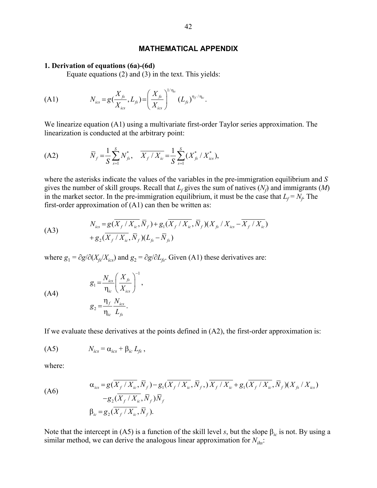# **MATHEMATICAL APPENDIX**

#### **1. Derivation of equations (6a)-(6d)**

Equate equations (2) and (3) in the text. This yields:

(A1) 
$$
N_{ics} = g(\frac{X_{fs}}{X_{ics}}, L_{fs}) = \left(\frac{X_{fs}}{X_{ics}}\right)^{1/\eta_{ic}} (L_{fs})^{\eta_f/\eta_{ic}}.
$$

We linearize equation (A1) using a multivariate first-order Taylor series approximation. The linearization is conducted at the arbitrary point:

(A2) 
$$
\overline{N}_f = \frac{1}{S} \sum_{s=1}^{S} N_{fs}^*, \quad \overline{X_f / X_{ic}} = \frac{1}{S} \sum_{s=1}^{S} (X_{fs}^* / X_{ics}^*),
$$

where the asterisks indicate the values of the variables in the pre-immigration equilibrium and *S* gives the number of skill groups. Recall that  $L_f$  gives the sum of natives  $(N_f)$  and immigrants  $(M)$ in the market sector. In the pre-immigration equilibrium, it must be the case that  $L_f = N_f$ . The first-order approximation of  $(A1)$  can then be written as:

(A3) 
$$
N_{ics} = g(\overline{X_f} / X_{ic}, \overline{N}_f) + g_1(\overline{X_f} / X_{ic}, \overline{N}_f)(X_{fs} / X_{ics} - \overline{X_f} / X_{ic}) + g_2(\overline{X_f} / X_{ic}, \overline{N}_f)(L_{fs} - \overline{N}_s)
$$

where  $g_1 = \partial g / \partial (X_f / X_{ics})$  and  $g_2 = \partial g / \partial L_f$ . Given (A1) these derivatives are:

1

,

$$
g_1 = \frac{N_{ics}}{\eta_{ic}} \left(\frac{X_{fs}}{X_{ics}}\right)^{-1}
$$

$$
g_2 = \frac{\eta_f}{\eta_{ic}} \frac{N_{ics}}{L_{fs}}.
$$

If we evaluate these derivatives at the points defined in (A2), the first-order approximation is:

$$
(A5) \t N_{ics} = \alpha_{ics} + \beta_{ic} L_{fs} ,
$$

where:

(A6)

\n
$$
\alpha_{\text{ics}} = g(\overline{X_f / X_{\text{ic}}}, \overline{N}_f) - g_1(\overline{X_f / X_{\text{ic}}}, \overline{N}_f, )\overline{X_f / X_{\text{ic}}} + g_1(\overline{X_f / X_{\text{ic}}}, \overline{N}_f)(X_{\text{fs}} / X_{\text{ics}}) - g_2(\overline{X_f / X_{\text{ic}}}, \overline{N}_f)\overline{N}_f
$$
\n
$$
\beta_{\text{ic}} = g_2(\overline{X_f / X_{\text{ic}}}, \overline{N}_f).
$$

Note that the intercept in (A5) is a function of the skill level *s*, but the slope  $\beta_{ic}$  is not. By using a similar method, we can derive the analogous linear approximation for  $N_{i\hbar s}$ :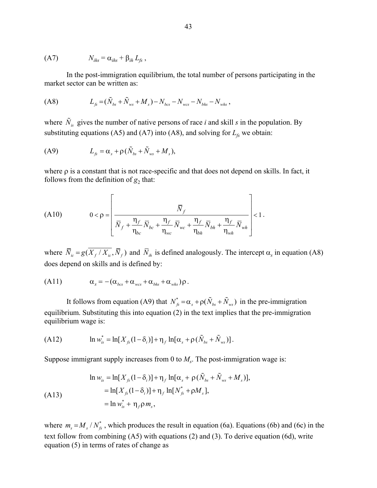$$
(A7) \t Nihs = \alphaihs + \betaih Lfs,
$$

In the post-immigration equilibrium, the total number of persons participating in the market sector can be written as:

$$
(A8) \tL_{fs} = (\tilde{N}_{bs} + \tilde{N}_{ws} + M_s) - N_{bcs} - N_{wcs} - N_{bhs} - N_{whs} ,
$$

where  $\tilde{N}_{i}$  gives the number of native persons of race *i* and skill *s* in the population. By substituting equations (A5) and (A7) into (A8), and solving for  $L_f$  we obtain:

$$
\text{(A9)} \qquad \qquad L_{fs} = \alpha_s + \rho \left( \tilde{N}_{bs} + \tilde{N}_{ws} + M_s \right),
$$

where  $\rho$  is a constant that is not race-specific and that does not depend on skills. In fact, it follows from the definition of  $g_2$  that:

(A10) 
$$
0 < \rho = \left[ \frac{\overline{N}_{f}}{\overline{N}_{f} + \frac{\eta_{f}}{\eta_{bc}} \overline{N}_{bc} + \frac{\eta_{f}}{\eta_{wc}} \overline{N}_{wc} + \frac{\eta_{f}}{\eta_{bh}} \overline{N}_{bh} + \frac{\eta_{f}}{\eta_{wh}} \overline{N}_{wh}} \right] < 1.
$$

where  $\overline{N}_{ic} = g(\overline{X_f}/\overline{X_{ic}}, \overline{N}_f)$  and  $\overline{N}_{ih}$  is defined analogously. The intercept  $\alpha_s$  in equation (A8) does depend on skills and is defined by:

$$
(A11) \t\t \alpha_s = -(\alpha_{bcs} + \alpha_{wcs} + \alpha_{bhs} + \alpha_{whs})\rho.
$$

It follows from equation (A9) that  $N_{fs}^* = \alpha_s + \rho(\tilde{N}_{bs} + \tilde{N}_{ws})$  in the pre-immigration equilibrium. Substituting this into equation (2) in the text implies that the pre-immigration equilibrium wage is:

(A12) 
$$
\ln w_{is}^* = \ln[X_{fs}(1-\delta_i)] + \eta_f \ln[\alpha_s + \rho(\tilde{N}_{bs} + \tilde{N}_{ws})].
$$

Suppose immigrant supply increases from 0 to  $M<sub>s</sub>$ . The post-immigration wage is:

$$
\ln w_{is} = \ln[X_{fs}(1-\delta_i)] + \eta_f \ln[\alpha_s + \rho(\tilde{N}_{bs} + \tilde{N}_{ws} + M_s)],
$$
  
=  $\ln[X_{fs}(1-\delta_i)] + \eta_f \ln[N_{fs}^* + \rho M_s],$   
=  $\ln w_{is}^* + \eta_f \rho m_s,$ 

where  $m_s = M_s / N_f^*$ , which produces the result in equation (6a). Equations (6b) and (6c) in the text follow from combining (A5) with equations (2) and (3). To derive equation (6d), write equation (5) in terms of rates of change as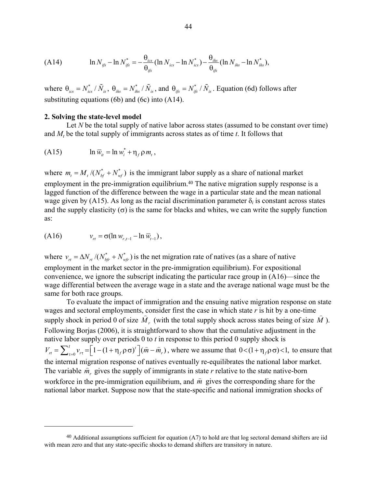(A14) 
$$
\ln N_{ijs} - \ln N_{ijs}^* = -\frac{\theta_{ics}}{\theta_{ijs}} (\ln N_{ics} - \ln N_{ics}^*) - \frac{\theta_{ihs}}{\theta_{ijs}} (\ln N_{ihs} - \ln N_{ihs}^*),
$$

where  $\theta_{ics} = N_{ics}^* / \tilde{N}_{is}$ ,  $\theta_{ihs} = N_{ihs}^* / \tilde{N}_{is}$ , and  $\theta_{ifs} = N_{ifs}^* / \tilde{N}_{is}$ . Equation (6d) follows after substituting equations (6b) and (6c) into (A14).

#### **2. Solving the state-level model**

Let *N* be the total supply of native labor across states (assumed to be constant over time) and  $M_t$  be the total supply of immigrants across states as of time  $t$ . It follows that

(A15) \* ln ln *ww m it i f t* = +η ρ ,

where  $m_t = M_t / (N_{bf}^* + N_{wt}^*)$  is the immigrant labor supply as a share of national market employment in the pre-immigration equilibrium.<sup>40</sup> The native migration supply response is a lagged function of the difference between the wage in a particular state and the mean national wage given by (A15). As long as the racial discrimination parameter  $\delta_i$  is constant across states and the supply elasticity  $(\sigma)$  is the same for blacks and whites, we can write the supply function as:

(A16) 
$$
v_{rt} = \sigma(\ln w_{r,t-1} - \ln \overline{w}_{t-1}),
$$

 $\overline{a}$ 

where  $v_{rt} = \Delta N_{rt}/(N_{bt}^* + N_{wfr}^*)$  is the net migration rate of natives (as a share of native employment in the market sector in the pre-immigration equilibrium). For expositional convenience, we ignore the subscript indicating the particular race group in (A16)—since the wage differential between the average wage in a state and the average national wage must be the same for both race groups.

To evaluate the impact of immigration and the ensuing native migration response on state wages and sectoral employments, consider first the case in which state *r* is hit by a one-time wages and sectoral employments, consider first the case in which state r is int by a one-time<br>supply shock in period 0 of size  $\hat{M}_r$  (with the total supply shock across states being of size  $\hat{M}$ ). Following Borjas (2006), it is straightforward to show that the cumulative adjustment in the native labor supply over periods 0 to *t* in response to this period 0 supply shock is  $V_{rt} = \sum_{\tau=0}^{t} v_{rt} = \left[1 - (1 + \eta_f \rho \sigma)^t\right] (\hat{m} - \hat{m}_r)$ , where we assume that  $0 < (1 + \eta_f \rho \sigma) < 1$ , to ensure that the internal migration response of natives eventually re-equilibrates the national labor market. The variable  $\hat{m}_r$  gives the supply of immigrants in state  $r$  relative to the state native-born workforce in the pre-immigration equilibrium, and  $\hat{m}$  gives the corresponding share for the national labor market. Suppose now that the state-specific and national immigration shocks of

 $40$  Additional assumptions sufficient for equation (A7) to hold are that log sectoral demand shifters are iid with mean zero and that any state-specific shocks to demand shifters are transitory in nature.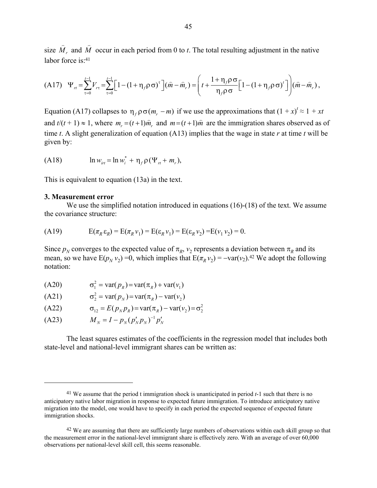size  $\hat{M}_r$  and  $\hat{M}$  occur in each period from 0 to *t*. The total resulting adjustment in the native labor force is<sup>-41</sup>

(A17) 
$$
\Psi_{rt} = \sum_{\tau=0}^{t-1} V_{rt} = \sum_{\tau=0}^{t-1} \Big[ 1 - (1 + \eta_f \rho \sigma)^{\tau} \Big] (\hat{m} - \hat{m}_r) = \Bigg( t + \frac{1 + \eta_f \rho \sigma}{\eta_f \rho \sigma} \Big[ 1 - (1 + \eta_f \rho \sigma)^{t} \Big] \Bigg) (\hat{m} - \hat{m}_r),
$$

Equation (A17) collapses to  $\eta_f \rho \sigma(m_r - m)$  if we use the approximations that  $(1 + x)^t \approx 1 + xt$ and  $t/(t + 1) \approx 1$ , where  $m = (t + 1)\hat{m}$  and  $m = (t + 1)\hat{m}$  are the immigration shares observed as of time *t*. A slight generalization of equation (A13) implies that the wage in state *r* at time *t* will be given by:

(A18) 
$$
\ln w_{irt} = \ln w_i^* + \eta_f \rho (\Psi_{rt} + m_r),
$$

This is equivalent to equation (13a) in the text.

#### **3. Measurement error**

<u>.</u>

We use the simplified notation introduced in equations (16)-(18) of the text. We assume the covariance structure:

$$
(A19) \qquad \qquad E(\pi_R \varepsilon_R) = E(\pi_R \nu_1) = E(\varepsilon_R \nu_1) = E(\varepsilon_R \nu_2) = E(\nu_1 \nu_2) = 0.
$$

Since  $p_N$  converges to the expected value of  $\pi_R$ ,  $v_2$  represents a deviation between  $\pi_R$  and its mean, so we have  $E(p_N v_2) = 0$ , which implies that  $E(\pi_R v_2) = -\text{var}(v_2)$ .<sup>42</sup> We adopt the following notation:

- $(A20)$  $\sigma_1^2$  = var(  $p_p$  ) = var(  $\pi_p$  ) + var(  $v_1$  )
- (A21)  $\sigma_2^2 = \text{var}(p_N) = \text{var}(\pi_R) \text{var}(v_2)$

(A22)  $\sigma_{12} = E(p_N p_R) = \text{var}(\pi_R) - \text{var}(v_2) = \sigma_2^2$ 

$$
(A23) \t M_N = I - p_N (p'_N p_N)^{-1} p'_N
$$

The least squares estimates of the coefficients in the regression model that includes both state-level and national-level immigrant shares can be written as:

<sup>41</sup> We assume that the period t immigration shock is unanticipated in period *t*-1 such that there is no anticipatory native labor migration in response to expected future immigration. To introduce anticipatory native migration into the model, one would have to specify in each period the expected sequence of expected future immigration shocks.

<sup>&</sup>lt;sup>42</sup> We are assuming that there are sufficiently large numbers of observations within each skill group so that the measurement error in the national-level immigrant share is effectively zero. With an average of over 60,000 observations per national-level skill cell, this seems reasonable.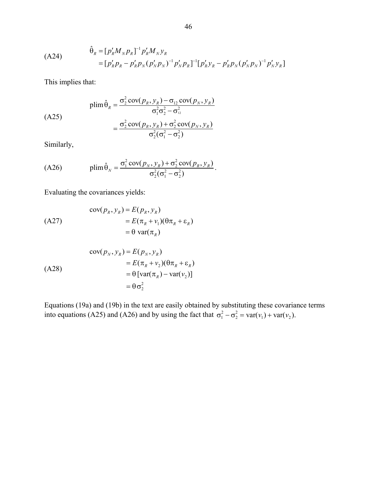$$
\hat{\theta}_R = [p'_R M_N p_R]^{-1} p'_R M_N y_R
$$
  
=  $[p'_R p_R - p'_R p_N (p'_N p_N)^{-1} p'_N p_R]^{-1} [p'_R y_R - p'_R p_N (p'_N p_N)^{-1} p'_N y_R]$ 

This implies that:

(A25)  
\n
$$
\text{plim}\,\hat{\theta}_R = \frac{\sigma_2^2 \text{cov}(p_R, y_R) - \sigma_{12} \text{cov}(p_N, y_R)}{\sigma_1^2 \sigma_2^2 - \sigma_{12}^2}
$$
\n
$$
= \frac{\sigma_2^2 \text{cov}(p_R, y_R) + \sigma_2^2 \text{cov}(p_N, y_R)}{\sigma_2^2 (\sigma_1^2 - \sigma_2^2)}
$$

Similarly,

(A26) 
$$
\text{plim}\,\hat{\theta}_N = \frac{\sigma_1^2 \text{cov}(p_N, y_R) + \sigma_2^2 \text{cov}(p_R, y_R)}{\sigma_2^2(\sigma_1^2 - \sigma_2^2)}.
$$

Evaluating the covariances yields:

$$
\begin{aligned} \text{cov}(p_R, y_R) &= E(p_R, y_R) \\ &= E(\pi_R + v_1)(\theta \pi_R + \varepsilon_R) \\ &= \theta \text{ var}(\pi_R) \end{aligned}
$$

( A28)  
\n
$$
\begin{aligned}\n\text{cov}(p_N, y_R) &= E(p_N, y_R) \\
&= E(\pi_R + v_2)(\theta \pi_R + \varepsilon_R) \\
&= \theta \left[ \text{var}(\pi_R) - \text{var}(v_2) \right] \\
&= \theta \sigma_2^2\n\end{aligned}
$$

Equations (19a) and (19b) in the text are easily obtained by substituting these covariance terms into equations (A25) and (A26) and by using the fact that  $\sigma_1^2 - \sigma_2^2 = \text{var}(v_1) + \text{var}(v_2)$ .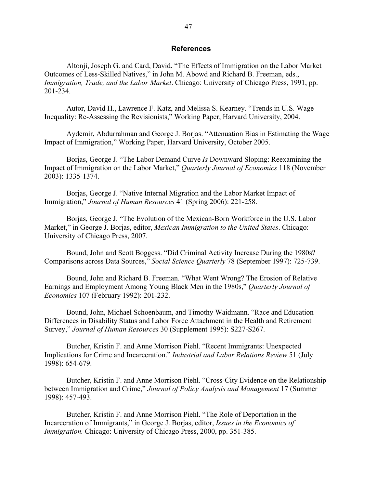# **References**

 Altonji, Joseph G. and Card, David. "The Effects of Immigration on the Labor Market Outcomes of Less-Skilled Natives," in John M. Abowd and Richard B. Freeman, eds., *Immigration, Trade, and the Labor Market*. Chicago: University of Chicago Press, 1991, pp. 201-234.

 Autor, David H., Lawrence F. Katz, and Melissa S. Kearney. "Trends in U.S. Wage Inequality: Re-Assessing the Revisionists," Working Paper, Harvard University, 2004.

 Aydemir, Abdurrahman and George J. Borjas. "Attenuation Bias in Estimating the Wage Impact of Immigration," Working Paper, Harvard University, October 2005.

 Borjas, George J. "The Labor Demand Curve *Is* Downward Sloping: Reexamining the Impact of Immigration on the Labor Market," *Quarterly Journal of Economics* 118 (November 2003): 1335-1374.

 Borjas, George J. "Native Internal Migration and the Labor Market Impact of Immigration," *Journal of Human Resources* 41 (Spring 2006): 221-258.

 Borjas, George J. "The Evolution of the Mexican-Born Workforce in the U.S. Labor Market," in George J. Borjas, editor, *Mexican Immigration to the United States*. Chicago: University of Chicago Press, 2007.

 Bound, John and Scott Boggess. "Did Criminal Activity Increase During the 1980s? Comparisons across Data Sources," *Social Science Quarterly* 78 (September 1997): 725-739.

Bound, John and Richard B. Freeman. "What Went Wrong? The Erosion of Relative Earnings and Employment Among Young Black Men in the 1980s," *Quarterly Journal of Economics* 107 (February 1992): 201-232.

Bound, John, Michael Schoenbaum, and Timothy Waidmann. "Race and Education Differences in Disability Status and Labor Force Attachment in the Health and Retirement Survey," *Journal of Human Resources* 30 (Supplement 1995): S227-S267.

Butcher, Kristin F. and Anne Morrison Piehl. "Recent Immigrants: Unexpected Implications for Crime and Incarceration." *Industrial and Labor Relations Review* 51 (July 1998): 654-679.

Butcher, Kristin F. and Anne Morrison Piehl. "Cross-City Evidence on the Relationship between Immigration and Crime," *Journal of Policy Analysis and Management* 17 (Summer 1998): 457-493.

Butcher, Kristin F. and Anne Morrison Piehl. "The Role of Deportation in the Incarceration of Immigrants," in George J. Borjas, editor, *Issues in the Economics of Immigration.* Chicago: University of Chicago Press, 2000, pp. 351-385.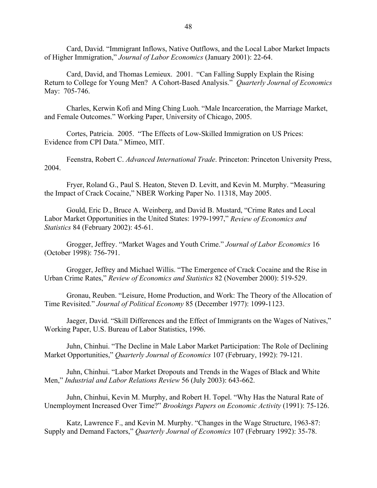Card, David. "Immigrant Inflows, Native Outflows, and the Local Labor Market Impacts of Higher Immigration," *Journal of Labor Economics* (January 2001): 22-64.

 Card, David, and Thomas Lemieux. 2001. "Can Falling Supply Explain the Rising Return to College for Young Men? A Cohort-Based Analysis." *Quarterly Journal of Economics* May: 705-746.

Charles, Kerwin Kofi and Ming Ching Luoh. "Male Incarceration, the Marriage Market, and Female Outcomes." Working Paper, University of Chicago, 2005.

 Cortes, Patricia. 2005. "The Effects of Low-Skilled Immigration on US Prices: Evidence from CPI Data." Mimeo, MIT.

 Feenstra, Robert C. *Advanced International Trade*. Princeton: Princeton University Press, 2004.

 Fryer, Roland G., Paul S. Heaton, Steven D. Levitt, and Kevin M. Murphy. "Measuring the Impact of Crack Cocaine," NBER Working Paper No. 11318, May 2005.

Gould, Eric D., Bruce A. Weinberg, and David B. Mustard, "Crime Rates and Local Labor Market Opportunities in the United States: 1979-1997," *Review of Economics and Statistics* 84 (February 2002): 45-61.

 Grogger, Jeffrey. "Market Wages and Youth Crime." *Journal of Labor Economics* 16 (October 1998): 756-791.

 Grogger, Jeffrey and Michael Willis. "The Emergence of Crack Cocaine and the Rise in Urban Crime Rates," *Review of Economics and Statistics* 82 (November 2000): 519-529.

 Gronau, Reuben. "Leisure, Home Production, and Work: The Theory of the Allocation of Time Revisited." *Journal of Political Economy* 85 (December 1977): 1099-1123.

Jaeger, David. "Skill Differences and the Effect of Immigrants on the Wages of Natives," Working Paper, U.S. Bureau of Labor Statistics, 1996.

 Juhn, Chinhui. "The Decline in Male Labor Market Participation: The Role of Declining Market Opportunities," *Quarterly Journal of Economics* 107 (February, 1992): 79-121.

 Juhn, Chinhui. "Labor Market Dropouts and Trends in the Wages of Black and White Men," *Industrial and Labor Relations Review* 56 (July 2003): 643-662.

Juhn, Chinhui, Kevin M. Murphy, and Robert H. Topel. "Why Has the Natural Rate of Unemployment Increased Over Time?" *Brookings Papers on Economic Activity* (1991): 75-126.

 Katz, Lawrence F., and Kevin M. Murphy. "Changes in the Wage Structure, 1963-87: Supply and Demand Factors," *Quarterly Journal of Economics* 107 (February 1992): 35-78.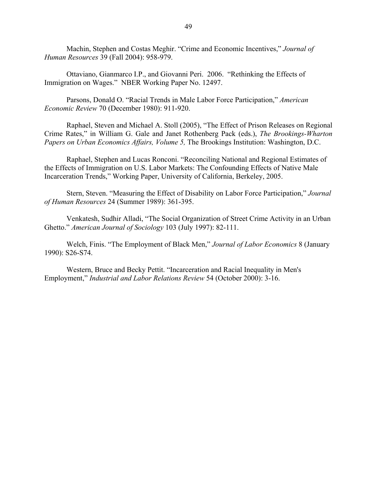Machin, Stephen and Costas Meghir. "Crime and Economic Incentives," *Journal of Human Resources* 39 (Fall 2004): 958-979.

 Ottaviano, Gianmarco I.P., and Giovanni Peri. 2006. "Rethinking the Effects of Immigration on Wages." NBER Working Paper No. 12497.

Parsons, Donald O. "Racial Trends in Male Labor Force Participation," *American Economic Review* 70 (December 1980): 911-920.

 Raphael, Steven and Michael A. Stoll (2005), "The Effect of Prison Releases on Regional Crime Rates," in William G. Gale and Janet Rothenberg Pack (eds.), *The Brookings-Wharton Papers on Urban Economics Affairs, Volume 5,* The Brookings Institution: Washington, D.C.

Raphael, Stephen and Lucas Ronconi. "Reconciling National and Regional Estimates of the Effects of Immigration on U.S. Labor Markets: The Confounding Effects of Native Male Incarceration Trends," Working Paper, University of California, Berkeley, 2005.

Stern, Steven. "Measuring the Effect of Disability on Labor Force Participation," *Journal of Human Resources* 24 (Summer 1989): 361-395.

Venkatesh, Sudhir Alladi, "The Social Organization of Street Crime Activity in an Urban Ghetto." *American Journal of Sociology* 103 (July 1997): 82-111.

 Welch, Finis. "The Employment of Black Men," *Journal of Labor Economics* 8 (January 1990): S26-S74.

Western, Bruce and Becky Pettit. "Incarceration and Racial Inequality in Men's Employment," *Industrial and Labor Relations Review* 54 (October 2000): 3-16.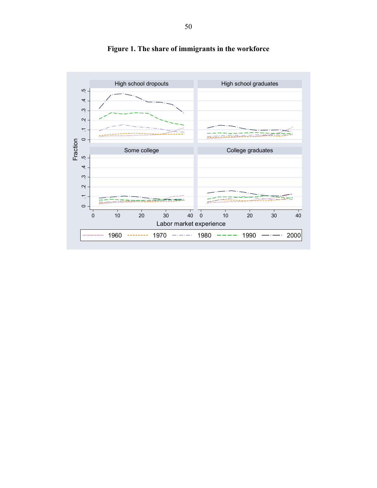

**Figure 1. The share of immigrants in the workforce**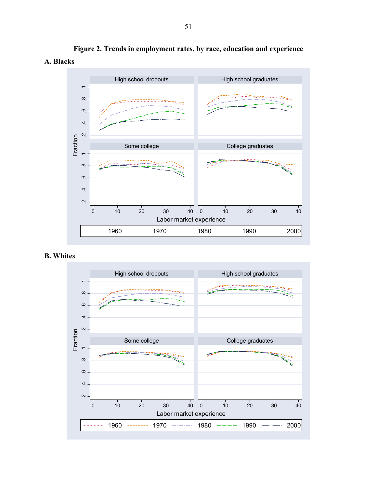

**Figure 2. Trends in employment rates, by race, education and experience A. Blacks** 

# **B. Whites**

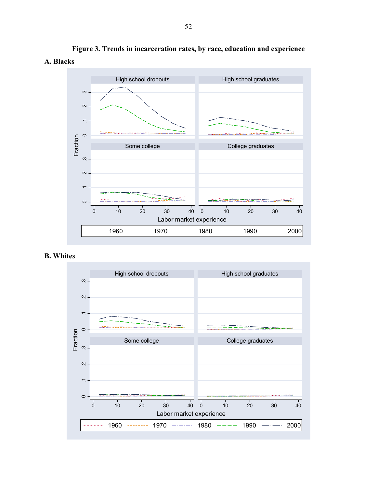

**Figure 3. Trends in incarceration rates, by race, education and experience A. Blacks** 

# **B. Whites**

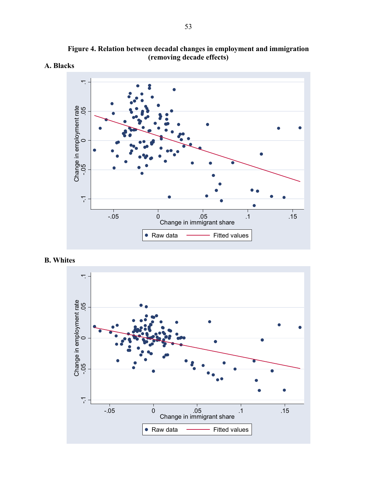





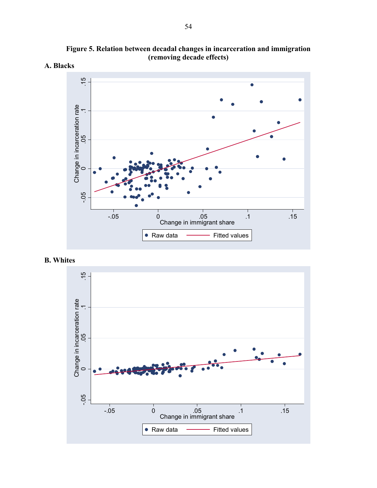

**Figure 5. Relation between decadal changes in incarceration and immigration (removing decade effects)** 



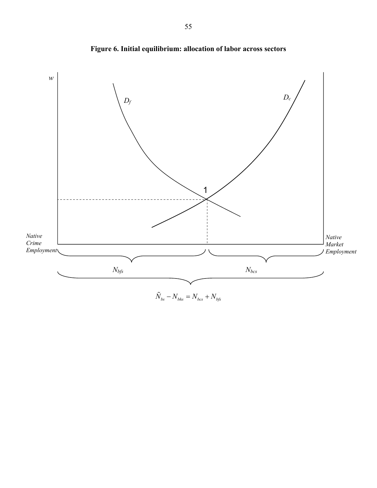

**Figure 6. Initial equilibrium: allocation of labor across sectors** 

 $\tilde{N}_{bs} - N_{bhs} = N_{bcs} + N_{bfs}$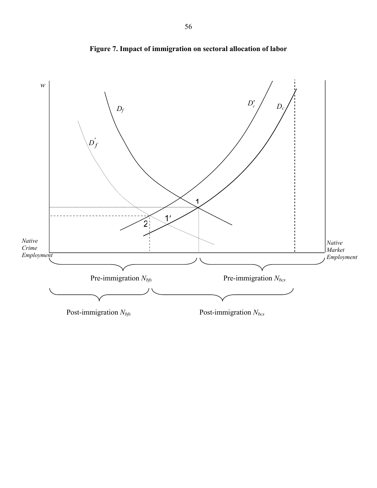

**Figure 7. Impact of immigration on sectoral allocation of labor**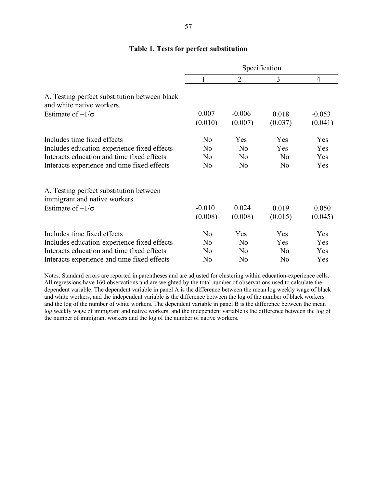# **Table 1. Tests for perfect substitution**

|                                                                            | Specification    |                     |                  |                     |
|----------------------------------------------------------------------------|------------------|---------------------|------------------|---------------------|
|                                                                            | 1                | $\overline{2}$      | 3                | $\overline{4}$      |
| A. Testing perfect substitution between black<br>and white native workers. |                  |                     |                  |                     |
| Estimate of $-1/\sigma$                                                    | 0.007<br>(0.010) | $-0.006$<br>(0.007) | 0.018<br>(0.037) | $-0.053$<br>(0.041) |
| Includes time fixed effects                                                | N <sub>0</sub>   | Yes                 | Yes              | Yes                 |
| Includes education-experience fixed effects                                | N <sub>o</sub>   | N <sub>0</sub>      | Yes              | Yes                 |
| Interacts education and time fixed effects                                 | No               | N <sub>0</sub>      | N <sub>0</sub>   | Yes                 |
| Interacts experience and time fixed effects                                | N <sub>0</sub>   | N <sub>0</sub>      | N <sub>0</sub>   | Yes                 |
| A. Testing perfect substitution between                                    |                  |                     |                  |                     |
| immigrant and native workers                                               |                  |                     |                  |                     |
| Estimate of $-1/\sigma$                                                    | $-0.010$         | 0.024               | 0.019            | 0.050               |
|                                                                            | (0.008)          | (0.008)             | (0.015)          | (0.045)             |
| Includes time fixed effects                                                | N <sub>0</sub>   | Yes                 | Yes              | Yes                 |
| Includes education-experience fixed effects                                | N <sub>0</sub>   | N <sub>0</sub>      | Yes              | Yes                 |
| Interacts education and time fixed effects                                 | N <sub>o</sub>   | N <sub>0</sub>      | N <sub>0</sub>   | Yes                 |
| Interacts experience and time fixed effects                                | N <sub>0</sub>   | N <sub>0</sub>      | N <sub>0</sub>   | Yes                 |

Notes: Standard errors are reported in parentheses and are adjusted for clustering within education-experience cells. All regressions have 160 observations and are weighted by the total number of observations used to calculate the dependent variable. The dependent variable in panel A is the difference between the mean log weekly wage of black and white workers, and the independent variable is the difference between the log of the number of black workers and the log of the number of white workers. The dependent variable in panel B is the difference between the mean log weekly wage of immigrant and native workers, and the independent variable is the difference between the log of the number of immigrant workers and the log of the number of native workers.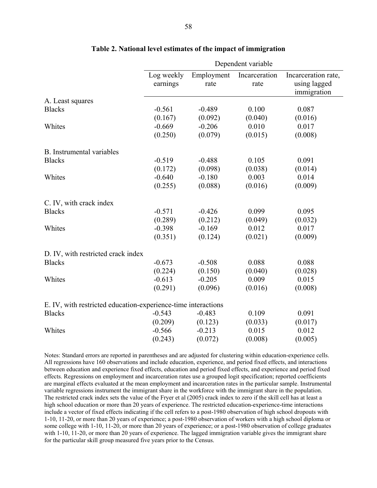|                                                               | Dependent variable |            |               |                     |  |
|---------------------------------------------------------------|--------------------|------------|---------------|---------------------|--|
|                                                               | Log weekly         | Employment | Incarceration | Incarceration rate, |  |
|                                                               | earnings           | rate       | rate          | using lagged        |  |
|                                                               |                    |            |               | immigration         |  |
| A. Least squares                                              |                    |            |               |                     |  |
| <b>Blacks</b>                                                 | $-0.561$           | $-0.489$   | 0.100         | 0.087               |  |
|                                                               | (0.167)            | (0.092)    | (0.040)       | (0.016)             |  |
| Whites                                                        | $-0.669$           | $-0.206$   | 0.010         | 0.017               |  |
|                                                               | (0.250)            | (0.079)    | (0.015)       | (0.008)             |  |
| <b>B.</b> Instrumental variables                              |                    |            |               |                     |  |
| <b>Blacks</b>                                                 | $-0.519$           | $-0.488$   | 0.105         | 0.091               |  |
|                                                               | (0.172)            | (0.098)    | (0.038)       | (0.014)             |  |
| Whites                                                        | $-0.640$           | $-0.180$   | 0.003         | 0.014               |  |
|                                                               | (0.255)            | (0.088)    | (0.016)       | (0.009)             |  |
| C. IV, with crack index                                       |                    |            |               |                     |  |
| <b>Blacks</b>                                                 | $-0.571$           | $-0.426$   | 0.099         | 0.095               |  |
|                                                               | (0.289)            | (0.212)    | (0.049)       | (0.032)             |  |
| Whites                                                        | $-0.398$           | $-0.169$   | 0.012         | 0.017               |  |
|                                                               | (0.351)            | (0.124)    | (0.021)       | (0.009)             |  |
| D. IV, with restricted crack index                            |                    |            |               |                     |  |
| <b>Blacks</b>                                                 | $-0.673$           | $-0.508$   | 0.088         | 0.088               |  |
|                                                               | (0.224)            | (0.150)    | (0.040)       | (0.028)             |  |
| Whites                                                        | $-0.613$           | $-0.205$   | 0.009         | 0.015               |  |
|                                                               | (0.291)            | (0.096)    | (0.016)       | (0.008)             |  |
| E. IV, with restricted education-experience-time interactions |                    |            |               |                     |  |
| <b>Blacks</b>                                                 | $-0.543$           | $-0.483$   | 0.109         | 0.091               |  |
|                                                               | (0.209)            | (0.123)    | (0.033)       | (0.017)             |  |
| Whites                                                        | $-0.566$           | $-0.213$   | 0.015         | 0.012               |  |
|                                                               | (0.243)            | (0.072)    | (0.008)       | (0.005)             |  |

#### **Table 2. National level estimates of the impact of immigration**

Notes: Standard errors are reported in parentheses and are adjusted for clustering within education-experience cells. All regressions have 160 observations and include education, experience, and period fixed effects, and interactions between education and experience fixed effects, education and period fixed effects, and experience and period fixed effects. Regressions on employment and incarceration rates use a grouped logit specification; reported coefficients are marginal effects evaluated at the mean employment and incarceration rates in the particular sample. Instrumental variable regressions instrument the immigrant share in the workforce with the immigrant share in the population. The restricted crack index sets the value of the Fryer et al (2005) crack index to zero if the skill cell has at least a high school education or more than 20 years of experience. The restricted education-experience-time interactions include a vector of fixed effects indicating if the cell refers to a post-1980 observation of high school dropouts with 1-10, 11-20, or more than 20 years of experience; a post-1980 observation of workers with a high school diploma or some college with 1-10, 11-20, or more than 20 years of experience; or a post-1980 observation of college graduates with 1-10, 11-20, or more than 20 years of experience. The lagged immigration variable gives the immigrant share for the particular skill group measured five years prior to the Census.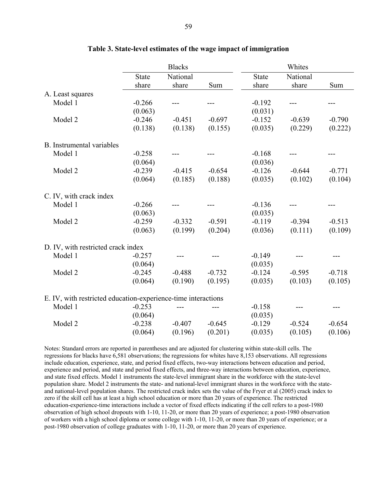|                                                               |              | <b>Blacks</b> |          |              | Whites   |          |
|---------------------------------------------------------------|--------------|---------------|----------|--------------|----------|----------|
|                                                               | <b>State</b> | National      |          | <b>State</b> | National |          |
|                                                               | share        | share         | Sum      | share        | share    | Sum      |
| A. Least squares                                              |              |               |          |              |          |          |
| Model 1                                                       | $-0.266$     |               |          | $-0.192$     |          |          |
|                                                               | (0.063)      |               |          | (0.031)      |          |          |
| Model 2                                                       | $-0.246$     | $-0.451$      | $-0.697$ | $-0.152$     | $-0.639$ | $-0.790$ |
|                                                               | (0.138)      | (0.138)       | (0.155)  | (0.035)      | (0.229)  | (0.222)  |
| B. Instrumental variables                                     |              |               |          |              |          |          |
| Model 1                                                       | $-0.258$     |               |          | $-0.168$     |          |          |
|                                                               | (0.064)      |               |          | (0.036)      |          |          |
| Model 2                                                       | $-0.239$     | $-0.415$      | $-0.654$ | $-0.126$     | $-0.644$ | $-0.771$ |
|                                                               | (0.064)      | (0.185)       | (0.188)  | (0.035)      | (0.102)  | (0.104)  |
| C. IV, with crack index                                       |              |               |          |              |          |          |
| Model 1                                                       | $-0.266$     |               |          | $-0.136$     |          |          |
|                                                               | (0.063)      |               |          | (0.035)      |          |          |
| Model 2                                                       | $-0.259$     | $-0.332$      | $-0.591$ | $-0.119$     | $-0.394$ | $-0.513$ |
|                                                               | (0.063)      | (0.199)       | (0.204)  | (0.036)      | (0.111)  | (0.109)  |
| D. IV, with restricted crack index                            |              |               |          |              |          |          |
| Model 1                                                       | $-0.257$     |               |          | $-0.149$     |          |          |
|                                                               | (0.064)      |               |          | (0.035)      |          |          |
| Model 2                                                       | $-0.245$     | $-0.488$      | $-0.732$ | $-0.124$     | $-0.595$ | $-0.718$ |
|                                                               | (0.064)      | (0.190)       | (0.195)  | (0.035)      | (0.103)  | (0.105)  |
| E. IV, with restricted education-experience-time interactions |              |               |          |              |          |          |
| Model 1                                                       | $-0.253$     |               |          | $-0.158$     |          |          |
|                                                               | (0.064)      |               |          | (0.035)      |          |          |
| Model 2                                                       | $-0.238$     | $-0.407$      | $-0.645$ | $-0.129$     | $-0.524$ | $-0.654$ |
|                                                               | (0.064)      | (0.196)       | (0.201)  | (0.035)      | (0.105)  | (0.106)  |

# **Table 3. State-level estimates of the wage impact of immigration**

Notes: Standard errors are reported in parentheses and are adjusted for clustering within state-skill cells. The regressions for blacks have 6,581 observations; the regressions for whites have 8,153 observations. All regressions include education, experience, state, and period fixed effects, two-way interactions between education and period, experience and period, and state and period fixed effects, and three-way interactions between education, experience, and state fixed effects. Model 1 instruments the state-level immigrant share in the workforce with the state-level population share. Model 2 instruments the state- and national-level immigrant shares in the workforce with the stateand national-level population shares. The restricted crack index sets the value of the Fryer et al (2005) crack index to zero if the skill cell has at least a high school education or more than 20 years of experience. The restricted education-experience-time interactions include a vector of fixed effects indicating if the cell refers to a post-1980 observation of high school dropouts with 1-10, 11-20, or more than 20 years of experience; a post-1980 observation of workers with a high school diploma or some college with 1-10, 11-20, or more than 20 years of experience; or a post-1980 observation of college graduates with 1-10, 11-20, or more than 20 years of experience.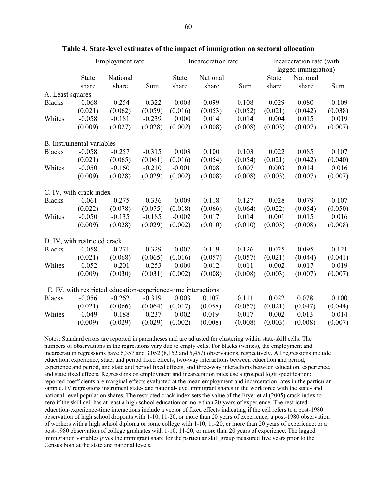|                  | Employment rate                  |                                                               | Incarceration rate |              |          | Incarceration rate (with |              |                     |         |
|------------------|----------------------------------|---------------------------------------------------------------|--------------------|--------------|----------|--------------------------|--------------|---------------------|---------|
|                  |                                  |                                                               |                    |              |          |                          |              | lagged immigration) |         |
|                  | <b>State</b>                     | National                                                      |                    | <b>State</b> | National |                          | <b>State</b> | National            |         |
|                  | share                            | share                                                         | Sum                | share        | share    | Sum                      | share        | share               | Sum     |
| A. Least squares |                                  |                                                               |                    |              |          |                          |              |                     |         |
| <b>Blacks</b>    | $-0.068$                         | $-0.254$                                                      | $-0.322$           | 0.008        | 0.099    | 0.108                    | 0.029        | 0.080               | 0.109   |
|                  | (0.021)                          | (0.062)                                                       | (0.059)            | (0.016)      | (0.053)  | (0.052)                  | (0.021)      | (0.042)             | (0.038) |
| Whites           | $-0.058$                         | $-0.181$                                                      | $-0.239$           | 0.000        | 0.014    | 0.014                    | 0.004        | 0.015               | 0.019   |
|                  | (0.009)                          | (0.027)                                                       | (0.028)            | (0.002)      | (0.008)  | (0.008)                  | (0.003)      | (0.007)             | (0.007) |
|                  | <b>B.</b> Instrumental variables |                                                               |                    |              |          |                          |              |                     |         |
| <b>Blacks</b>    | $-0.058$                         | $-0.257$                                                      | $-0.315$           | 0.003        | 0.100    | 0.103                    | 0.022        | 0.085               | 0.107   |
|                  | (0.021)                          | (0.065)                                                       | (0.061)            | (0.016)      | (0.054)  | (0.054)                  | (0.021)      | (0.042)             | (0.040) |
| Whites           | $-0.050$                         | $-0.160$                                                      | $-0.210$           | $-0.001$     | 0.008    | 0.007                    | 0.003        | 0.014               | 0.016   |
|                  | (0.009)                          | (0.028)                                                       | (0.029)            | (0.002)      | (0.008)  | (0.008)                  | (0.003)      | (0.007)             | (0.007) |
|                  | C. IV, with crack index          |                                                               |                    |              |          |                          |              |                     |         |
| <b>Blacks</b>    | $-0.061$                         | $-0.275$                                                      | $-0.336$           | 0.009        | 0.118    | 0.127                    | 0.028        | 0.079               | 0.107   |
|                  | (0.022)                          | (0.078)                                                       | (0.075)            | (0.018)      | (0.066)  | (0.064)                  | (0.022)      | (0.054)             | (0.050) |
| Whites           | $-0.050$                         | $-0.135$                                                      | $-0.185$           | $-0.002$     | 0.017    | 0.014                    | 0.001        | 0.015               | 0.016   |
|                  | (0.009)                          | (0.028)                                                       | (0.029)            | (0.002)      | (0.010)  | (0.010)                  | (0.003)      | (0.008)             | (0.008) |
|                  | D. IV, with restricted crack     |                                                               |                    |              |          |                          |              |                     |         |
| <b>Blacks</b>    | $-0.058$                         | $-0.271$                                                      | $-0.329$           | 0.007        | 0.119    | 0.126                    | 0.025        | 0.095               | 0.121   |
|                  | (0.021)                          | (0.068)                                                       | (0.065)            | (0.016)      | (0.057)  | (0.057)                  | (0.021)      | (0.044)             | (0.041) |
| Whites           | $-0.052$                         | $-0.201$                                                      | $-0.253$           | $-0.000$     | 0.012    | 0.011                    | 0.002        | 0.017               | 0.019   |
|                  | (0.009)                          | (0.030)                                                       | (0.031)            | (0.002)      | (0.008)  | (0.008)                  | (0.003)      | (0.007)             | (0.007) |
|                  |                                  | E. IV, with restricted education-experience-time interactions |                    |              |          |                          |              |                     |         |
| <b>Blacks</b>    | $-0.056$                         | $-0.262$                                                      | $-0.319$           | 0.003        | 0.107    | 0.111                    | 0.022        | 0.078               | 0.100   |
|                  | (0.021)                          | (0.066)                                                       | (0.064)            | (0.017)      | (0.058)  | (0.057)                  | (0.021)      | (0.047)             | (0.044) |
| Whites           | $-0.049$                         | $-0.188$                                                      | $-0.237$           | $-0.002$     | 0.019    | 0.017                    | 0.002        | 0.013               | 0.014   |
|                  | (0.009)                          | (0.029)                                                       | (0.029)            | (0.002)      | (0.008)  | (0.008)                  | (0.003)      | (0.008)             | (0.007) |

#### **Table 4. State-level estimates of the impact of immigration on sectoral allocation**

Notes: Standard errors are reported in parentheses and are adjusted for clustering within state-skill cells. The numbers of observations in the regressions vary due to empty cells. For blacks (whites), the employment and incarceration regressions have 6,357 and 3,052 (8,152 and 5,457) observations, respectively. All regressions include education, experience, state, and period fixed effects, two-way interactions between education and period, experience and period, and state and period fixed effects, and three-way interactions between education, experience, and state fixed effects. Regressions on employment and incarceration rates use a grouped logit specification; reported coefficients are marginal effects evaluated at the mean employment and incarceration rates in the particular sample. IV regressions instrument state- and national-level immigrant shares in the workforce with the state- and national-level population shares. The restricted crack index sets the value of the Fryer et al (2005) crack index to zero if the skill cell has at least a high school education or more than 20 years of experience. The restricted education-experience-time interactions include a vector of fixed effects indicating if the cell refers to a post-1980 observation of high school dropouts with 1-10, 11-20, or more than 20 years of experience; a post-1980 observation of workers with a high school diploma or some college with 1-10, 11-20, or more than 20 years of experience; or a post-1980 observation of college graduates with 1-10, 11-20, or more than 20 years of experience. The lagged immigration variables gives the immigrant share for the particular skill group measured five years prior to the Census both at the state and national levels.